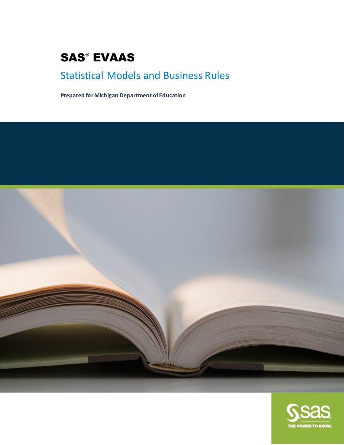# SAS® EVAAS

# Statistical Models and Business Rules

**Prepared for Michigan Department of Education**



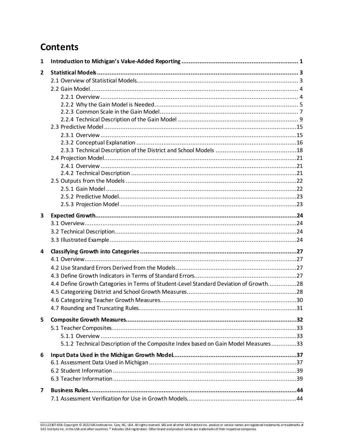# **Contents**

| 1                       |                                                                                       |  |
|-------------------------|---------------------------------------------------------------------------------------|--|
| $\mathbf{2}$            |                                                                                       |  |
|                         |                                                                                       |  |
|                         |                                                                                       |  |
|                         |                                                                                       |  |
|                         |                                                                                       |  |
|                         |                                                                                       |  |
|                         |                                                                                       |  |
|                         |                                                                                       |  |
|                         |                                                                                       |  |
|                         |                                                                                       |  |
|                         |                                                                                       |  |
|                         |                                                                                       |  |
|                         |                                                                                       |  |
|                         |                                                                                       |  |
|                         |                                                                                       |  |
|                         |                                                                                       |  |
|                         |                                                                                       |  |
|                         |                                                                                       |  |
| 3                       |                                                                                       |  |
|                         |                                                                                       |  |
|                         |                                                                                       |  |
|                         |                                                                                       |  |
|                         |                                                                                       |  |
| 4                       |                                                                                       |  |
|                         |                                                                                       |  |
|                         |                                                                                       |  |
|                         |                                                                                       |  |
|                         | 4.4 Define Growth Categories in Terms of Student-Level Standard Deviation of Growth28 |  |
|                         |                                                                                       |  |
|                         |                                                                                       |  |
|                         | 4.7 Rounding and Truncating Rules                                                     |  |
|                         |                                                                                       |  |
| 5                       |                                                                                       |  |
|                         |                                                                                       |  |
|                         |                                                                                       |  |
|                         | 5.1.2 Technical Description of the Composite Index based on Gain Model Measures33     |  |
| 6                       |                                                                                       |  |
|                         |                                                                                       |  |
|                         |                                                                                       |  |
|                         |                                                                                       |  |
|                         |                                                                                       |  |
| $\overline{\mathbf{z}}$ |                                                                                       |  |
|                         |                                                                                       |  |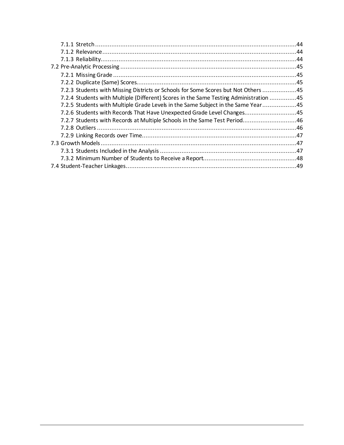| 7.2.3 Students with Missing Districts or Schools for Some Scores but Not Others 45    |  |
|---------------------------------------------------------------------------------------|--|
| 7.2.4 Students with Multiple (Different) Scores in the Same Testing Administration 45 |  |
| 7.2.5 Students with Multiple Grade Levels in the Same Subject in the Same Year45      |  |
| 7.2.6 Students with Records That Have Unexpected Grade Level Changes45                |  |
| 7.2.7 Students with Records at Multiple Schools in the Same Test Period 46            |  |
|                                                                                       |  |
|                                                                                       |  |
|                                                                                       |  |
|                                                                                       |  |
|                                                                                       |  |
|                                                                                       |  |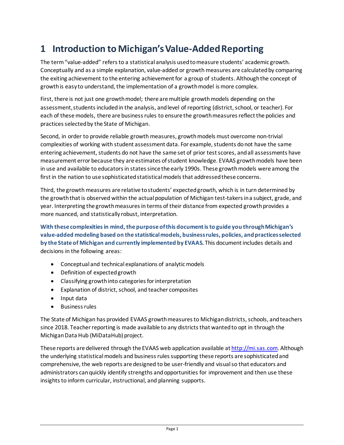# <span id="page-3-0"></span>**1 Introduction to Michigan'sValue-Added Reporting**

The term "value-added" refers to a statistical analysis used to measure students' academic growth. Conceptually and as a simple explanation, value-added or growth measures are calculated by comparing the exiting achievement to the entering achievement for a group of students. Althoughthe concept of growth is easy to understand, the implementation of a growth model is more complex.

First, there is not just one growth model; there are multiple growth models depending on the assessment, students included in the analysis, and level of reporting (district, school, or teacher). For each of these models, there are business rules to ensure the growth measures reflect the policies and practices selected by the State of Michigan.

Second, in order to provide reliable growth measures, growth models must overcome non-trivial complexities of working with student assessment data. For example, students do not have the same entering achievement, students do not have the same set of prior test scores, and all assessments have measurement error because they are estimates of student knowledge. EVAAS growth models have been in use and available to educators in states since the early 1990s. These growth models were among the first in the nation to use sophisticated statistical models that addressed these concerns.

Third, the growth measures are relative to students' expected growth, which is in turn determined by the growth that is observed within the actual population of Michigan test-takers in a subject, grade, and year. Interpreting the growth measures in terms of their distance from expected growth provides a more nuanced, and statistically robust, interpretation.

**With these complexities in mind, the purpose of this document is to guide you through Michigan's value-added modeling based on the statistical models, business rules, policies, and practices selected by the State of Michigan and currently implemented by EVAAS.** This document includes details and decisions in the following areas:

- Conceptual and technical explanations of analytic models
- Definition of expected growth
- Classifying growth into categories for interpretation
- Explanation of district, school, and teacher composites
- Input data
- Business rules

The State of Michigan has provided EVAAS growth measures to Michigandistricts, schools, and teachers since 2018. Teacher reporting is made available to any districts that wanted to opt in through the Michigan Data Hub (MiDataHub) project.

These reports are delivered through the EVAAS web application available a[t http://mi.sas.com.](http://mi.sas.com/) Although the underlying statistical models and business rules supporting these reports are sophisticated and comprehensive, the web reports are designed to be user-friendly and visual so that educators and administrators can quickly identify strengths and opportunities for improvement and then use these insights to inform curricular, instructional, and planning supports.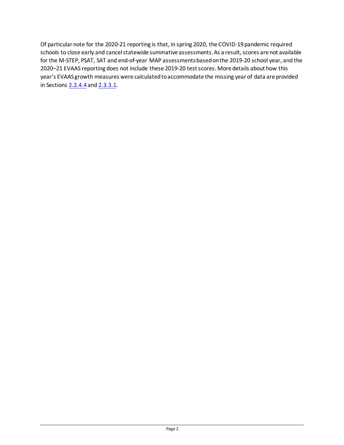Of particular note for the 2020-21 reporting is that, in spring 2020, the COVID-19 pandemic required schools to close early and cancel statewide summative assessments. As a result, scores are not available for the M-STEP, PSAT, SAT and end-of-year MAP assessments based on the 2019-20 school year, and the 2020–21 EVAAS reporting does not include these 2019-20 test scores. More details about how this year's EVAAS growth measures were calculated to accommodate the missing year of data are provided in Sections [2.2.4.4](#page-17-2) an[d 2.3.3.1.](#page-22-0)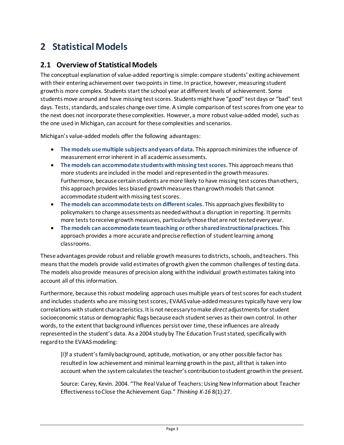# <span id="page-5-0"></span>**2 Statistical Models**

## <span id="page-5-1"></span>**2.1 Overview of Statistical Models**

The conceptual explanation of value-added reporting is simple: compare students' exiting achievement with their entering achievement over two points in time. In practice, however, measuring student growth is more complex. Students start the school year at different levels of achievement. Some students move around and have missing test scores. Students might have "good" test days or "bad" test days. Tests, standards, and scales change over time. A simple comparison of test scores from one year to the next does not incorporate these complexities. However, a more robust value-added model, such as the one used in Michigan, can account for these complexities and scenarios.

Michigan's value-added models offer the following advantages:

- **The models use multiple subjects and years of data.** This approach minimizes the influence of measurement error inherent in all academic assessments.
- **The models can accommodate students with missing test scores.** This approach means that more students are included in the model and represented in the growth measures. Furthermore, because certain students are more likely to have missing test scores than others, this approach provides less biased growth measures than growth models that cannot accommodate student with missing test scores.
- **The models can accommodate tests on different scales.** This approach gives flexibility to policymakers to change assessments as needed without a disruption in reporting. It permits more tests to receive growth measures, particularly those that are not tested every year.
- **The models can accommodate team teaching or other shared instructional practices.** This approach provides a more accurate and precise reflection of student learning among classrooms.

These advantages provide robust and reliable growth measures to districts, schools, and teachers. This means thatthe models provide valid estimates of growth given the common challenges of testing data. The models also provide measures of precision along with the individual growth estimates taking into account all of this information.

Furthermore, because this robust modeling approach uses multiple years of test scores for each student and includes students who are missing test scores, EVAAS value-added measures typically have very low correlations with student characteristics. It is not necessary to make *direct* adjustments for student socioeconomic status or demographic flags because each student serves as their own control. In other words, to the extent that background influences persist over time, these influences are already represented in the student's data. As a 2004 study by The Education Trust stated, specifically with regard to the EVAAS modeling:

[I]f a student's family background, aptitude, motivation, or any other possible factor has resulted in low achievement and minimal learning growth in the past, all that is taken into account when the system calculates the teacher's contribution to student growth in the present.

Source: Carey, Kevin. 2004. "The Real Value of Teachers: Using New Information about Teacher Effectivenessto Close the Achievement Gap." *Thinking K-16* 8(1):27.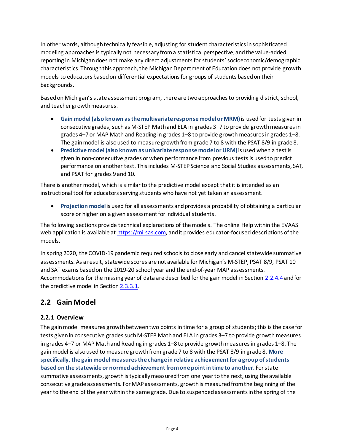In other words, althoughtechnically feasible, adjusting for student characteristics in sophisticated modeling approaches is typically not necessary from a statistical perspective, and the value-added reporting in Michigandoes not make any direct adjustments for students' socioeconomic/demographic characteristics. Through this approach, the Michigan Department of Education does not provide growth models to educators based on differential expectations for groups of students based on their backgrounds.

Based on Michigan's state assessment program, there are two approaches to providing district, school, and teacher growth measures.

- **Gain model (also known as the multivariate response model or MRM)**is usedfor tests given in consecutive grades, such as M-STEP Math and ELA in grades 3–7 to provide growth measures in grades 4–7 or MAP Math and Reading in grades 1–8 to provide growth measures in grades 1–8. The gain model is also used to measure growth from grade 7 to 8 with the PSAT 8/9 in grade 8.
- **Predictive model (also known as univariate response model or URM)**is used when a test is given in non-consecutive grades or when performance from previous tests is used to predict performance on another test. This includes M-STEP Science and Social Studies assessments, SAT, and PSAT for grades 9 and 10.

There is another model, which is similar to the predictive model except that it is intended as an instructional tool for educators serving students who have not yet taken an assessment.

• **Projection model**is used for all assessments and provides a probability of obtaining a particular score or higher on a given assessment for individual students.

The following sections provide technical explanations of the models. The online Help within the EVAAS web application is available a[t https://mi.sas.com](https://mi.sas.com/), and it provides educator-focused descriptions of the models.

In spring 2020, the COVID-19 pandemic required schools to close early and cancel statewide summative assessments. As a result, statewide scores are not available for Michigan's M-STEP, PSAT 8/9, PSAT 10 and SAT exams based on the 2019-20 school year and the end-of-year MAP assessments. Accommodations for the missing year of data are described for the gain model in Section [2.2.4.4](#page-17-2) and for the predictive model in Sectio[n 2.3.3.1.](#page-22-0)

# <span id="page-6-0"></span>**2.2 Gain Model**

## <span id="page-6-1"></span>**2.2.1 Overview**

The gain model measures growth between two points in time for a group of students; this is the case for tests given in consecutive grades such M-STEP Math and ELA in grades 3–7 to provide growth measures in grades 4–7 or MAP Math and Reading in grades 1–8 to provide growth measures in grades 1–8. The gain model is also used to measure growth from grade 7 to 8 with the PSAT 8/9 in grade 8. **More specifically, the gain model measures the change in relative achievement for a group of students based on the statewide or normed achievement from one point in time to another.** For state summative assessments, growth is typically measured from one year to the next, using the available consecutive grade assessments. For MAP assessments, growth is measured from the beginning of the year to the end of the year within the same grade. Due to suspended assessments in the spring of the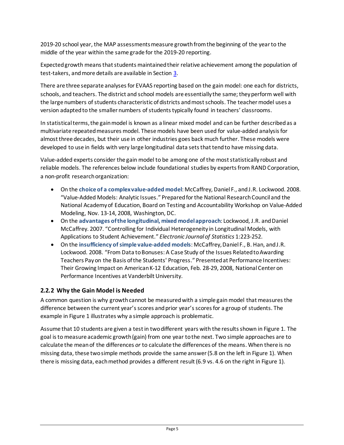2019-20 school year, the MAP assessments measure growth from the beginning of the year to the middle of the year within the same grade for the 2019-20 reporting.

Expected growth means that students maintained their relative achievement among the population of test-takers, and more details are available in Section [3.](#page-26-0)

There are three separate analyses for EVAAS reporting based on the gain model: one each for districts, schools, and teachers. The district and school models are essentially the same; they perform well with the large numbers of students characteristic of districts and most schools. The teacher model uses a version adapted to the smaller numbers of students typically found in teachers' classrooms.

In statistical terms, the gain model is known as a linear mixed model and can be further described as a multivariate repeated measures model. These models have been used for value-added analysis for almost three decades, but their use in other industries goes back much further. These models were developed to use in fields with very large longitudinal data sets that tend to have missing data.

Value-added experts consider the gain model to be among one of the most statistically robust and reliable models. The references below include foundational studies by experts from RAND Corporation, a non-profit research organization:

- On the **choice of a complex value-added model**: McCaffrey, Daniel F., and J.R. Lockwood. 2008. "Value-Added Models: Analytic Issues." Prepared for the National Research Council and the National Academy of Education, Board on Testing and Accountability Workshop on Value-Added Modeling, Nov. 13-14, 2008, Washington, DC.
- On the **advantages of the longitudinal, mixed model approach**: Lockwood, J.R. and Daniel McCaffrey. 2007. "Controlling for Individual Heterogeneity in Longitudinal Models, with Applications to Student Achievement." *Electronic Journal of Statistics* 1:223-252.
- On the **insufficiency of simple value-added models**: McCaffrey, Daniel F., B. Han, and J.R. Lockwood. 2008. "From Data to Bonuses: A Case Study of the Issues Related to Awarding Teachers Pay on the Basis of the Students' Progress." Presented at Performance Incentives: Their Growing Impact on American K-12 Education, Feb. 28-29, 2008, National Center on Performance Incentives at Vanderbilt University.

## <span id="page-7-0"></span>**2.2.2 Why the Gain Model is Needed**

A common question is why growth cannot be measured with a simple gain model that measures the difference between the current year's scores and prior year's scores for a group of students. The example in Figure 1 illustrates why a simple approach is problematic.

Assume that 10 students are given a test in two different years with the results shown in [Figure 1.](#page-8-0) The goal is to measure academic growth (gain) from one year to the next. Two simple approaches are to calculate the mean of the differences *or* to calculate the differences of the means. When there is no missing data, these two simple methods provide the same answer (5.8 on the left in Figure 1). When there is missing data, each method provides a different result (6.9 vs. 4.6 on the right in Figure 1).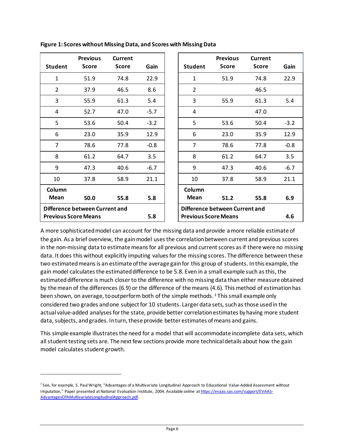| <b>Student</b> | <b>Previous</b><br><b>Score</b> | <b>Current</b><br><b>Score</b> | Gain   | <b>Student</b>              | <b>Previous</b><br><b>Score</b> | <b>Current</b><br><b>Score</b> | Gain   |
|----------------|---------------------------------|--------------------------------|--------|-----------------------------|---------------------------------|--------------------------------|--------|
| $\mathbf{1}$   | 51.9                            | 74.8                           | 22.9   | $\mathbf{1}$                | 51.9                            | 74.8                           | 22.9   |
| 2              | 37.9                            | 46.5                           | 8.6    | $\overline{2}$              |                                 | 46.5                           |        |
| 3              | 55.9                            | 61.3                           | 5.4    | 3                           | 55.9                            | 61.3                           | 5.4    |
| 4              | 52.7                            | 47.0                           | $-5.7$ | 4                           |                                 | 47.0                           |        |
| 5              | 53.6                            | 50.4                           | $-3.2$ | 5                           | 53.6                            | 50.4                           | $-3.2$ |
| 6              | 23.0                            | 35.9                           | 12.9   | 6                           | 23.0                            | 35.9                           | 12.9   |
| $\overline{7}$ | 78.6                            | 77.8                           | $-0.8$ | $\overline{7}$              | 78.6                            | 77.8                           | $-0.8$ |
| 8              | 61.2                            | 64.7                           | 3.5    | 8                           | 61.2                            | 64.7                           | 3.5    |
| 9              | 47.3                            | 40.6                           | $-6.7$ | 9                           | 47.3                            | 40.6                           | $-6.7$ |
| 10             | 37.8                            | 58.9                           | 21.1   | 10                          | 37.8                            | 58.9                           | 21.1   |
| Column         |                                 |                                |        | Column                      |                                 |                                |        |
| <b>Mean</b>    | 50.0                            | 55.8                           | 5.8    | Mean                        | 51.2                            | 55.8                           | 6.9    |
|                | Difference between Current and  |                                |        |                             | Difference between Current and  |                                |        |
|                | <b>Previous Score Means</b>     |                                | 5.8    | <b>Previous Score Means</b> |                                 |                                | 4.6    |

<span id="page-8-0"></span>**Figure 1: Scores without Missing Data, and Scores with Missing Data**

A more sophisticated model can account for the missing data and provide a more reliable estimate of the gain. As a brief overview, the gain model uses the correlation between current and previous scores in the non-missing data to estimate means for all previous and current scores as if there were no missing data. It does this without explicitly imputing values for the missing scores. The difference between these two estimated means is an estimate of the average gain for this group of students. In this example, the gain model calculates the estimated difference to be 5.8. Even in a small example such as this, the estimated difference is much closerto the difference with no missing data than either measure obtained by the mean of the differences (6.9) or the difference of the means (4.6). This method of estimation has been shown, on average, to outperform both of the simple methods.<sup>[1](#page-8-1)</sup> This small example only considered two grades and one subject for 10 students. Larger data sets, such as those used in the actual value-added analysesfor the state, provide better correlation estimates by having more student data, subjects, and grades. In turn, these provide better estimates of means and gains.

This simple example illustratesthe need for a model that will accommodate incomplete data sets, which all student testing sets are. The next few sections provide more technical details about how the gain model calculates student growth.

<span id="page-8-1"></span><sup>&</sup>lt;sup>1</sup> See, for example, S. Paul Wright, "Advantages of a Multivariate Longitudinal Approach to Educational Value-Added Assessment without Imputation," Paper presented at National Evaluation Institute, 2004. Available online a[t https://evaas.sas.com/support/EVAAS-](https://evaas.sas.com/support/EVAAS-AdvantagesOfAMultivariateLongitudinalApproach.pdf)[AdvantagesOfAMultivariateLongitudinalApproach.pdf.](https://evaas.sas.com/support/EVAAS-AdvantagesOfAMultivariateLongitudinalApproach.pdf)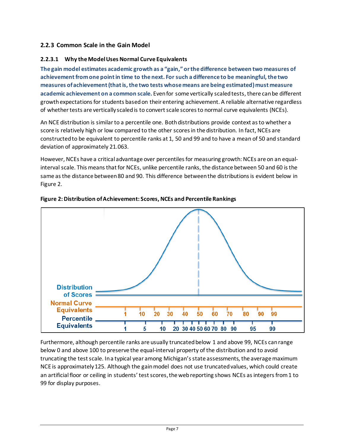### <span id="page-9-0"></span>**2.2.3 Common Scale in the Gain Model**

#### **2.2.3.1 Why the Model Uses Normal Curve Equivalents**

**The gain model estimates academic growth as a "gain," or the difference between two measures of achievement from one point in time to the next. For such a difference to be meaningful, the two measures of achievement (that is, the two tests whose means are being estimated) must measure academic achievement on a common scale.** Even for some vertically scaled tests, there canbe different growth expectations for students based on their entering achievement. A reliable alternative regardless of whether tests are vertically scaledis to convert scale scores to normal curve equivalents (NCEs).

An NCE distribution is similar to a percentile one. Bothdistributions provide context as to whether a score is relatively high or low compared to the other scores in the distribution. In fact, NCEs are constructed to be equivalent to percentile ranks at 1, 50 and 99 and to have a mean of 50 and standard deviation of approximately 21.063.

However, NCEs have a critical advantage over percentiles for measuring growth: NCEs are on an equalinterval scale. This means that for NCEs, unlike percentile ranks, the distance between 50 and 60 is the same as the distance between 80 and 90. This difference between the distributions is evident below in [Figure 2.](#page-9-1)



<span id="page-9-1"></span>**Figure 2: Distribution of Achievement: Scores, NCEs and Percentile Rankings**

Furthermore, although percentile ranks are usually truncated below 1 and above 99, NCEs can range below 0 and above 100 to preserve the equal-interval property of the distribution and to avoid truncating the test scale. In a typical year among Michigan's state assessments, the average maximum NCE is approximately 125. Although the gain model does not use truncated values, which could create an artificial floor or ceiling in students' test scores, the web reporting shows NCEs as integers from 1 to 99 for display purposes.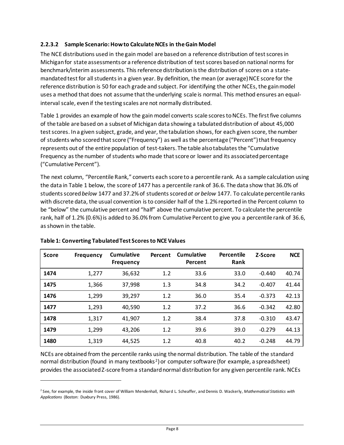#### **2.2.3.2 Sample Scenario: How to Calculate NCEs in the Gain Model**

The NCE distributions used in the gain model are based on a reference distribution of test scores in Michiganfor state assessments or a reference distribution of test scores based on national norms for benchmark/interim assessments. This reference distribution is the distribution of scores on a statemandated test for all students in a given year. By definition, the mean (or average) NCE score for the reference distribution is 50 for each grade and subject. For identifying the other NCEs, the gain model uses a method that does not assume that the underlying scale is normal. This method ensures an equalinterval scale, even if the testing scales are not normally distributed.

[Table 1](#page-10-0) provides an example of how the gain model converts scale scores to NCEs. The first five columns of the table are based on a subset of Michigan data showing a tabulated distribution of about 45,000 test scores. In a given subject, grade, and year, the tabulation shows, for each given score, the number of students who scored that score ("Frequency") as well as the percentage ("Percent") that frequency represents out of the entire population of test-takers. The table also tabulates the "Cumulative Frequency as the number of students who made that score or lower and its associated percentage ("Cumulative Percent").

The next column, "Percentile Rank," converts each score to a percentile rank. As a sample calculation using the data in Table 1 below, the score of 1477 has a percentile rank of 36.6. The data show that 36.0% of students scored *below* 1477 and 37.2% of students scored *at or below* 1477. To calculate percentile ranks with discrete data, the usual convention is to consider half of the 1.2% reported in the Percent column to be "below" the cumulative percent and "half" above the cumulative percent. To calculate the percentile rank, half of 1.2% (0.6%) is added to 36.0% from Cumulative Percent to give you a percentile rank of 36.6, as shown in the table.

| <b>Score</b> | <b>Frequency</b> | <b>Cumulative</b><br><b>Frequency</b> | Percent | Cumulative<br>Percent | Percentile<br>Rank | Z-Score  | <b>NCE</b> |
|--------------|------------------|---------------------------------------|---------|-----------------------|--------------------|----------|------------|
| 1474         | 1,277            | 36,632                                | 1.2     | 33.6                  | 33.0               | $-0.440$ | 40.74      |
| 1475         | 1,366            | 37,998                                | 1.3     | 34.8                  | 34.2               | $-0.407$ | 41.44      |
| 1476         | 1,299            | 39,297                                | 1.2     | 36.0                  | 35.4               | $-0.373$ | 42.13      |
| 1477         | 1,293            | 40,590                                | 1.2     | 37.2                  | 36.6               | $-0.342$ | 42.80      |
| 1478         | 1,317            | 41,907                                | 1.2     | 38.4                  | 37.8               | $-0.310$ | 43.47      |
| 1479         | 1,299            | 43,206                                | 1.2     | 39.6                  | 39.0               | $-0.279$ | 44.13      |
| 1480         | 1,319            | 44,525                                | 1.2     | 40.8                  | 40.2               | $-0.248$ | 44.79      |

#### <span id="page-10-0"></span>**Table 1: Converting TabulatedTest Scoresto NCE Values**

NCEs are obtained from the percentile ranks using the normal distribution. The table of the standard normal distribution (found in many textbooks<sup>[2](#page-10-1)</sup>) or computer software (for example, a spreadsheet) provides the associated Z-score from a standard normal distribution for any given percentile rank. NCEs

<span id="page-10-1"></span><sup>2</sup> See, for example, the inside front cover of William Mendenhall, Richard L. Scheaffer, and Dennis D. Wackerly, *Mathematical Statistics with Applications* (Boston: Duxbury Press, 1986).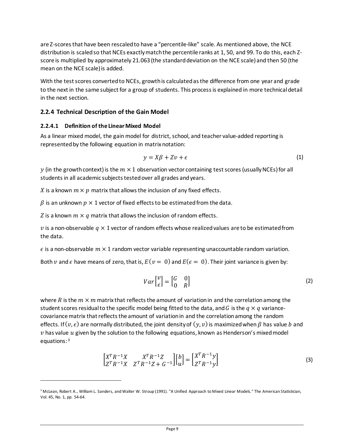are Z-scores that have been rescaled to have a "percentile-like" scale. As mentioned above, the NCE distribution is scaled so that NCEs exactly match the percentile ranks at 1, 50, and 99. To do this, each Zscore is multiplied by approximately 21.063 (the standard deviation on the NCE scale) and then 50 (the mean on the NCE scale) is added.

With the test scores converted to NCEs, growth is calculated as the difference from one year and grade to the next in the same subject for a group of students. This process is explained in more technical detail in the next section.

#### <span id="page-11-0"></span>**2.2.4 Technical Description of the Gain Model**

#### **2.2.4.1 Definition of the Linear Mixed Model**

As a linear mixed model, the gain model for district, school, and teacher value-added reporting is represented by the following equation in matrix notation:

$$
y = X\beta + Zv + \epsilon \tag{1}
$$

 $y$  (in the growth context) is the  $m \times 1$  observation vector containing test scores (usually NCEs) for all students in all academic subjects tested over all grades and years.

X is a known  $m \times p$  matrix that allows the inclusion of any fixed effects.

 $\beta$  is an unknown  $p \times 1$  vector of fixed effects to be estimated from the data.

Z is a known  $m \times q$  matrix that allows the inclusion of random effects.

 $v$  is a non-observable  $q \times 1$  vector of random effects whose realized values are to be estimated from the data.

 $\epsilon$  is a non-observable  $m \times 1$  random vector variable representing unaccountable random variation.

Both v and  $\epsilon$  have means of zero, that is,  $E(v = 0)$  and  $E(\epsilon = 0)$ . Their joint variance is given by:

$$
Var\begin{bmatrix} \nu \\ \epsilon \end{bmatrix} = \begin{bmatrix} G & 0 \\ 0 & R \end{bmatrix} \tag{2}
$$

where R is the  $m \times m$  matrix that reflects the amount of variation in and the correlation among the student scores residual to the specific model being fitted to the data, and G is the  $q \times q$  variancecovariance matrix that reflects the amount of variation in and the correlation among the random effects. If  $(v, \epsilon)$  are normally distributed, the joint density of  $(v, v)$  is maximized when  $\beta$  has value b and  $v$  has value  $u$  given by the solution to the following equations, known as Henderson's mixed model equations: [3](#page-11-1)

$$
\begin{bmatrix} X^T R^{-1} X & X^T R^{-1} Z \\ Z^T R^{-1} X & Z^T R^{-1} Z + G^{-1} \end{bmatrix} \begin{bmatrix} b \\ u \end{bmatrix} = \begin{bmatrix} X^T R^{-1} y \\ Z^T R^{-1} y \end{bmatrix}
$$
 (3)

<span id="page-11-1"></span><sup>&</sup>lt;sup>3</sup> McLean, Robert A., William L. Sanders, and Walter W. Stroup (1991). "A Unified Approach to Mixed Linear Models." The American Statistician, Vol. 45, No. 1, pp. 54-64.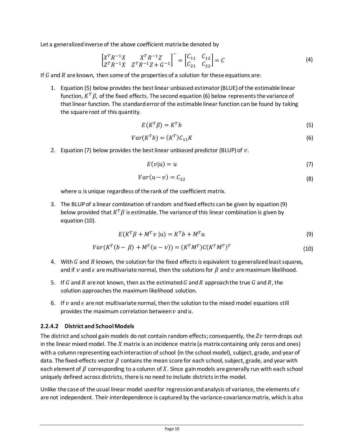Let a generalized inverse of the above coefficient matrix be denoted by

$$
\begin{bmatrix} X^T R^{-1} X & X^T R^{-1} Z \\ Z^T R^{-1} X & Z^T R^{-1} Z + G^{-1} \end{bmatrix}^{-} = \begin{bmatrix} C_{11} & C_{12} \\ C_{21} & C_{22} \end{bmatrix} = C
$$
\n(4)

If  $G$  and  $R$  are known, then some of the properties of a solution for these equations are:

1. Equation (5) below provides the best linear unbiased estimator (BLUE) of the estimable linear function,  $K^T\beta$ , of the fixed effects. The second equation (6) below represents the variance of that linear function. The standard error of the estimable linear function can be found by taking the square root of this quantity.

$$
E(K^T \beta) = K^T b \tag{5}
$$

$$
Var(K^T b) = (K^T)C_{11}K
$$
\n(6)

2. Equation (7) below provides the best linear unbiased predictor (BLUP) of  $v$ .

$$
E(v|u) = u \tag{7}
$$

$$
Var(u - v) = C_{22} \tag{8}
$$

where  $u$  is unique regardless of the rank of the coefficient matrix.

3. The BLUP of a linear combination of random and fixed effects can be given by equation (9) below provided that  $K^T\beta$  is estimable. The variance of this linear combination is given by equation (10).

$$
E(K^T\beta + M^T v \mid u) = K^T b + M^T u \tag{9}
$$

$$
Var(KT(b - \beta) + MT(u - v)) = (KTMT)C(KTMT)T
$$
\n(10)

- 4. With  $G$  and  $R$  known, the solution for the fixed effects is equivalent to generalized least squares, and if v and  $\epsilon$  are multivariate normal, then the solutions for  $\beta$  and v are maximum likelihood.
- 5. If G and R are not known, then as the estimated G and R approach the true G and R, the solution approaches the maximum likelihood solution.
- 6. If  $\nu$  and  $\epsilon$  are not multivariate normal, then the solution to the mixed model equations still provides the maximum correlation between  $\nu$  and  $u$ .

#### **2.2.4.2 District and School Models**

The district and school gain models do not contain random effects; consequently, the  $Zv$  term drops out in the linear mixed model. The  $X$  matrix is an incidence matrix (a matrix containing only zeros and ones) with a column representing each interaction of school (in the school model), subject, grade, and year of data. The fixed-effects vector  $\beta$  contains the mean score for each school, subject, grade, and year with each element of  $\beta$  corresponding to a column of X. Since gain models are generally run with each school uniquely defined across districts, there is no need to include districts in the model.

Unlike the case of the usual linear model used for regression and analysis of variance, the elements of  $\epsilon$ are not independent. Their interdependence is captured by the variance-covariance matrix, which is also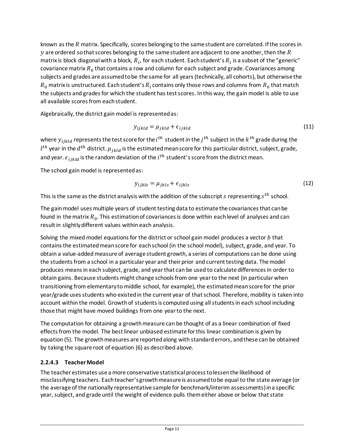known as the  $R$  matrix. Specifically, scores belonging to the same student are correlated. If the scores in y are ordered so that scores belonging to the same student are adjacent to one another, then the  $R$ matrix is block diagonal with a block,  $R_i$ , for each student. Each student's  $R_i$  is a subset of the "generic" covariance matrix  $R_0$  that contains a row and column for each subject and grade. Covariances among subjects and grades are assumed to be the same for all years (technically, all cohorts), but otherwise the  $R_0$  matrix is unstructured. Each student's  $R_i$  contains only those rows and columns from  $R_0$  that match the subjects and grades for which the student has test scores. In this way, the gain model is able to use all available scores from each student.

Algebraically, the district gain model is represented as:

$$
y_{ijkl} = \mu_{jkld} + \epsilon_{ijkl}
$$
 (11)

where  $y_{ijkld}$  represents the test score for the  $i^{th}$  student in the  $j^{th}$  subject in the  $k^{th}$  grade during the  $l^{th}$  year in the  $d^{th}$  district.  $\mu_{jkld}$  is the estimated mean score for this particular district, subject, grade, and year.  $\epsilon_{ijkl}$  is the random deviation of the  $i^{th}$  student's score from the district mean.

The school gain model is represented as:

$$
y_{ijkls} = \mu_{jkls} + \epsilon_{ijkls}
$$
 (12)

This is the same as the district analysis with the addition of the subscript  $s$  representing  $s^{th}$  school.

The gain model uses multiple years of student testing data to estimate the covariances that can be found in the matrix  $R_0$ . This estimation of covariances is done within each level of analyses and can result in slightly different values within each analysis.

Solving the mixed model equations for the district or school gain model produces a vector  $b$  that contains the estimated mean score for each school (in the school model), subject, grade, and year. To obtain a value-added measure of average student growth, a series of computations can be done using the students from a school in a particular year and their prior and current testing data. The model produces means in each subject, grade, and year that can be used to calculate differences in order to obtain gains. Because students might change schools from one year to the next (in particular when transitioning from elementary to middle school, for example), the estimated mean score for the prior year/grade uses students who existed in the current year of that school. Therefore, mobility is taken into account within the model. Growth of students is computed using all students in each school including those that might have moved buildings from one year to the next.

The computation for obtaining a growth measure can be thought of as a linear combination of fixed effects from the model. The best linear unbiased estimate for this linear combination is given by equation (5). The growth measures are reported along with standard errors, and these can be obtained by taking the square root of equation (6) as described above.

#### **2.2.4.3 TeacherModel**

The teacher estimates use a more conservative statistical processto lessen the likelihood of misclassifying teachers. Each teacher's growth measure is assumed to be equal to the state average (or the average of the nationally representative sample for benchmark/interim assessments) in a specific year, subject, and grade until the weight of evidence pulls themeither above or below that state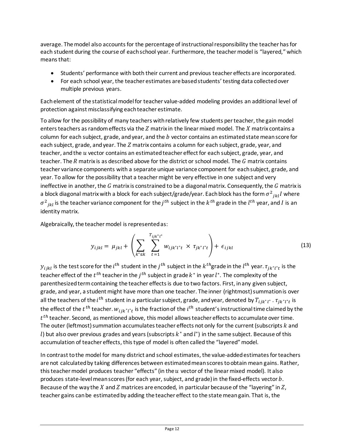average. The model also accounts for the percentage of instructional responsibility the teacher has for each student during the course of each school year. Furthermore, the teacher model is "layered," which means that:

- Students' performance with both their current and previous teacher effects are incorporated.
- For each school year, the teacher estimates are based students' testing data collected over multiple previous years.

Each element of the statistical model for teacher value-added modeling provides an additional level of protection against misclassifying each teacher estimate.

To allow for the possibility of many teachers with relatively few students per teacher, the gain model enters teachers as random effects via the  $Z$  matrix in the linear mixed model. The  $X$  matrix contains a column for each subject, grade, and year, and the  $b$  vector contains an estimated state mean score for each subject, grade, and year. The  $Z$  matrix contains a column for each subject, grade, year, and teacher, and the  $u$  vector contains an estimated teacher effect for each subject, grade, year, and teacher. The  $R$  matrix is as described above for the district or school model. The  $G$  matrix contains teacher variance components with a separate unique variance component for each subject, grade, and year. To allow for the possibility that a teacher might be very effective in one subject and very ineffective in another, the  $G$  matrix is constrained to be a diagonal matrix. Consequently, the  $G$  matrix is a block diagonal matrix with a block for each subject/grade/year. Each block has the form  $\sigma^2_{ikl}I$  where  $\sigma^2_{jkl}$  is the teacher variance component for the  $j^{th}$  subject in the  $k^{th}$  grade in the  $l^{th}$  year, and I is an identity matrix.

Algebraically, the teacher model is represented as:

$$
y_{ijkl} = \mu_{jkl} + \left( \sum_{k^* \le k} \sum_{t=1}^{T_{ijk^*l^*}} w_{ijk^*l^*t} \times \tau_{jk^*l^*t} \right) + \epsilon_{ijkl}
$$
 (13)

 $y_{ijkl}$  is the test score for the  $i^{th}$  student in the  $j^{th}$  subject in the  $k^{th}$ grade in the  $l^{th}$  year.  $\tau_{jk^*l^*t}$  is the teacher effect of the  $t^{\textit{th}}$  teacher in the  $j^{\textit{th}}$  subject in grade  $k^*$  in year  $l^*.$  The complexity of the parenthesized term containing the teacher effects is due to two factors. First, in any given subject, grade, and year, a student might have more than one teacher. The inner (rightmost) summation is over all the teachers of the  $i^{th}$  student in a particular subject, grade, and year, denoted by  $T_{ijk^*l^*}$ .  $\tau_{jk^*l^*t}$  is the effect of the  $t^{\textit{th}}$  teacher.  $w_{ijk^*l^*t}$  is the fraction of the  $i^{\textit{th}}$  student's instructional time claimed by the  $t<sup>th</sup>$  teacher. Second, as mentioned above, this model allows teacher effects to accumulate over time. The outer (leftmost) summation accumulates teacher effects not only for the current (subscripts  $k$  and l) but also over previous grades and years (subscripts  $k^*$  and  $l^*$ ) in the same subject. Because of this accumulation of teacher effects, this type of model is often called the "layered" model.

In contrast to the model for many district and school estimates, the value-added estimates for teachers are not calculated by taking differences between estimated mean scores to obtain mean gains. Rather, this teacher model produces teacher "effects" (in the  $u$  vector of the linear mixed model). It also produces state-level mean scores (for each year, subject, and grade) in the fixed-effects vector  $b$ . Because of the way the X and Z matrices are encoded, in particular because of the "layering" in  $Z$ , teacher gains can be estimated by adding the teacher effect to the state mean gain. That is, the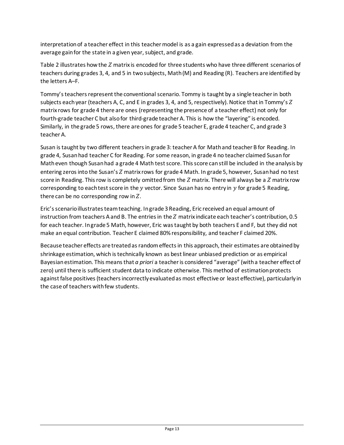interpretation of a teacher effect in this teacher model is as a gain expressed as a deviation from the average gain for the state in a given year, subject, and grade.

[Table 2](#page-16-0) illustrates how the  $Z$  matrix is encoded for three students who have three different scenarios of teachers during grades 3, 4, and 5 in two subjects, Math (M) and Reading (R). Teachers are identified by the letters A–F.

Tommy's teachers represent the conventional scenario. Tommy is taught by a single teacher in both subjects each year (teachers A, C, and E in grades 3, 4, and 5, respectively). Notice that in Tommy's  $Z$ matrix rows for grade 4 there are ones (representing the presence of a teacher effect) not only for fourth-grade teacher C but also for third-grade teacher A. This is how the "layering" is encoded. Similarly, in the grade 5 rows, there are ones for grade 5 teacher E, grade 4 teacher C, and grade 3 teacher A.

Susan is taught by two different teachers in grade 3: teacher A for Math and teacher B for Reading. In grade 4, Susan had teacher C for Reading. For some reason, in grade 4 no teacher claimed Susan for Math even though Susan had a grade 4 Math test score. This score can still be included in the analysis by entering zeros into the Susan's Z matrix rows for grade 4 Math. In grade 5, however, Susan had no test score in Reading. This row is completely omitted from the  $Z$  matrix. There will always be a  $Z$  matrix row corresponding to each test score in the  $y$  vector. Since Susan has no entry in  $y$  for grade 5 Reading, there can be no corresponding row in  $Z$ .

Eric's scenario illustrates team teaching. In grade 3 Reading, Eric received an equal amount of instruction from teachers A and B. The entries in the  $Z$  matrix indicate each teacher's contribution, 0.5 for each teacher. In grade 5 Math, however, Eric was taught by both teachers E and F, but they did not make an equal contribution. Teacher E claimed 80% responsibility, and teacher F claimed 20%.

Because teacher effects are treated as random effects in this approach, their estimates are obtained by shrinkage estimation, which is technically known as best linear unbiased prediction or as empirical Bayesian estimation. This means that *a priori* a teacher is considered "average" (with a teacher effect of zero) until there is sufficient student data to indicate otherwise. This method of estimation protects against false positives (teachers incorrectly evaluated as most effective or least effective), particularly in the case of teachers with few students.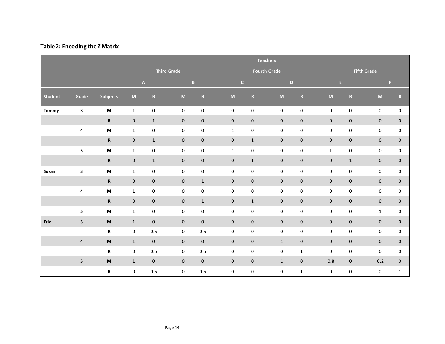#### **Table 2: Encoding the Z Matrix**

<span id="page-16-0"></span>

|                |                         |                                                                                                            | <b>Teachers</b>     |                           |                                                                                                            |                     |                     |                              |                     |                     |              |                    |              |                     |
|----------------|-------------------------|------------------------------------------------------------------------------------------------------------|---------------------|---------------------------|------------------------------------------------------------------------------------------------------------|---------------------|---------------------|------------------------------|---------------------|---------------------|--------------|--------------------|--------------|---------------------|
|                |                         |                                                                                                            | <b>Third Grade</b>  |                           |                                                                                                            |                     |                     | <b>Fourth Grade</b>          |                     |                     |              | <b>Fifth Grade</b> |              |                     |
|                |                         |                                                                                                            |                     | $\boldsymbol{\mathsf{A}}$ |                                                                                                            | $\mathbf{B}$        |                     | $\mathsf{C}$<br>$\mathbf{D}$ |                     | E.                  |              |                    | F.           |                     |
| <b>Student</b> | Grade                   | <b>Subjects</b>                                                                                            | $\mathsf{M}\xspace$ | ${\bf R}$                 | $\mathsf{M}% _{T}=\mathsf{M}_{T}\!\left( a,b\right) ,\ \mathsf{M}_{T}=\mathsf{M}_{T}\!\left( a,b\right) ,$ | ${\bf R}$           | $\mathsf{M}$        | $\mathbf R$                  | $\mathsf{M}\xspace$ | $\, {\bf R}$        | M            | ${\bf R}$          | $\mathsf{M}$ | ${\bf R}$           |
| <b>Tommy</b>   | $\mathbf{3}$            | $\boldsymbol{\mathsf{M}}$                                                                                  | $\mathbf{1}$        | $\pmb{0}$                 | $\mathbf 0$                                                                                                | $\mathsf 0$         | $\pmb{0}$           | $\pmb{0}$                    | 0                   | $\pmb{0}$           | $\pmb{0}$    | $\pmb{0}$          | $\mathsf 0$  | $\mathsf 0$         |
|                |                         | $\mathbf R$                                                                                                | $\mathbf 0$         | $1\,$                     | $\mathbf 0$                                                                                                | $\mathsf{O}\xspace$ | $\mathsf{O}\xspace$ | $\mathbf 0$                  | $\mathsf{O}\xspace$ | $\pmb{0}$           | $\pmb{0}$    | $\pmb{0}$          | $\mathbf 0$  | $\pmb{0}$           |
|                | $\pmb{4}$               | M                                                                                                          | $\mathbf{1}$        | $\pmb{0}$                 | 0                                                                                                          | 0                   | $\mathbf{1}$        | 0                            | 0                   | 0                   | $\pmb{0}$    | $\pmb{0}$          | 0            | 0                   |
|                |                         | $\, {\bf R} \,$                                                                                            | $\mathsf{O}\xspace$ | $\mathbf{1}$              | $\mathsf{O}\xspace$                                                                                        | $\mathsf{O}\xspace$ | $\mathbf 0$         | $\mathbf{1}$                 | $\mathsf{O}\xspace$ | $\pmb{0}$           | $\pmb{0}$    | $\mathbf 0$        | $\mathbf 0$  | $\pmb{0}$           |
|                | ${\bf 5}$               | M                                                                                                          | $\mathbf{1}$        | $\pmb{0}$                 | 0                                                                                                          | 0                   | $\mathbf{1}$        | 0                            | 0                   | 0                   | $\mathbf{1}$ | $\pmb{0}$          | 0            | $\mathsf 0$         |
|                |                         | $\mathbf R$                                                                                                | $\mathsf{O}\xspace$ | $\mathbf{1}$              | $\mathsf{O}\xspace$                                                                                        | $\mathbf 0$         | $\mathbf 0$         | $\mathbf{1}$                 | $\mathsf{O}\xspace$ | $\mathsf{O}$        | $\pmb{0}$    | $\mathbf{1}$       | $\mathbf 0$  | $\pmb{0}$           |
| Susan          | 3                       | $\boldsymbol{\mathsf{M}}$                                                                                  | $\mathbf{1}$        | $\pmb{0}$                 | $\pmb{0}$                                                                                                  | 0                   | 0                   | 0                            | 0                   | 0                   | $\pmb{0}$    | $\pmb{0}$          | $\pmb{0}$    | 0                   |
|                |                         | ${\bf R}$                                                                                                  | $\mathsf{O}\xspace$ | $\pmb{0}$                 | $\mathsf{O}\xspace$                                                                                        | $\mathbf{1}$        | $\mathsf{O}\xspace$ | $\mathbf 0$                  | $\mathsf{O}\xspace$ | $\mathsf{O}\xspace$ | $\pmb{0}$    | $\mathbf 0$        | $\mathbf 0$  | $\pmb{0}$           |
|                | $\pmb{4}$               | $\boldsymbol{\mathsf{M}}$                                                                                  | $\mathbf{1}$        | 0                         | 0                                                                                                          | 0                   | 0                   | 0                            | 0                   | 0                   | $\pmb{0}$    | $\pmb{0}$          | 0            | 0                   |
|                |                         | $\, {\bf R} \,$                                                                                            | $\mathbf 0$         | $\pmb{0}$                 | $\mathsf{O}\xspace$                                                                                        | $\mathbf 1$         | $\pmb{0}$           | $\mathbf{1}$                 | $\mathsf{O}\xspace$ | $\pmb{0}$           | $\pmb{0}$    | $\pmb{0}$          | $\mathbf 0$  | $\pmb{0}$           |
|                | ${\bf 5}$               | M                                                                                                          | $\mathbf{1}$        | 0                         | $\mathbf 0$                                                                                                | 0                   | $\mathbf 0$         | 0                            | 0                   | 0                   | 0            | $\pmb{0}$          | $\mathbf{1}$ | 0                   |
| Eric           | $\overline{\mathbf{3}}$ | $\mathsf{M}% _{T}=\mathsf{M}_{T}\!\left( a,b\right) ,\ \mathsf{M}_{T}=\mathsf{M}_{T}\!\left( a,b\right) ,$ | $\mathbf{1}$        | $\mathsf{O}\xspace$       | $\mathbf 0$                                                                                                | $\mathbf 0$         | $\mathbf 0$         | $\mathbf 0$                  | $\mathbf 0$         | $\mathbf 0$         | $\mathbf 0$  | $\mathbf 0$        | $\mathbf 0$  | $\mathsf{O}\xspace$ |
|                |                         | R                                                                                                          | 0                   | 0.5                       | 0                                                                                                          | 0.5                 | 0                   | 0                            | 0                   | 0                   | 0            | $\pmb{0}$          | 0            | 0                   |
|                | $\overline{\mathbf{4}}$ | $\mathsf{M}% _{T}=\mathsf{M}_{T}\!\left( a,b\right) ,\ \mathsf{M}_{T}=\mathsf{M}_{T}\!\left( a,b\right) ,$ | $\mathbf{1}$        | $\mathsf{O}\xspace$       | $\mathsf{O}\xspace$                                                                                        | $\mathbf 0$         | $\mathbf 0$         | $\mathbf 0$                  | $\mathbf{1}$        | $\mathsf{O}\xspace$ | $\pmb{0}$    | $\pmb{0}$          | $\mathbf 0$  | $\mathsf{O}\xspace$ |
|                |                         | R                                                                                                          | 0                   | 0.5                       | 0                                                                                                          | 0.5                 | 0                   | 0                            | $\mathbf 0$         | $\mathbf{1}$        | $\pmb{0}$    | $\pmb{0}$          | 0            | 0                   |
|                | $\overline{\mathbf{5}}$ | $\boldsymbol{\mathsf{M}}$                                                                                  | $\mathbf{1}$        | $\mathbf 0$               | $\mathbf 0$                                                                                                | $\mathbf 0$         | $\mathbf 0$         | $\mathbf 0$                  | $\mathbf{1}$        | $\mathbf 0$         | 0.8          | $\mathbf 0$        | 0.2          | $\mathsf{O}\xspace$ |
|                |                         | $\boldsymbol{\mathsf{R}}$                                                                                  | $\mathbf 0$         | 0.5                       | 0                                                                                                          | 0.5                 | 0                   | 0                            | 0                   | $\mathbf{1}$        | $\pmb{0}$    | $\pmb{0}$          | $\pmb{0}$    | $\mathbf 1$         |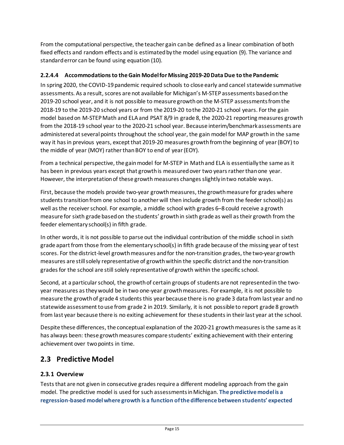From the computational perspective, the teacher gain can be defined as a linear combination of both fixed effects and random effects and is estimated by the model using equation (9). The variance and standard error can be found using equation (10).

### <span id="page-17-2"></span>**2.2.4.4 Accommodations to the Gain Model for Missing 2019-20 Data Due to the Pandemic**

In spring 2020, the COVID-19 pandemic required schools to close early and cancel statewide summative assessments. As a result, scores are not available for Michigan's M-STEPassessments based on the 2019-20 school year, and it is not possible to measure growth on the M-STEP assessments from the 2018-19 to the 2019-20 school years or from the 2019-20 to the 2020-21 school years. For the gain model based on M-STEP Math and ELA and PSAT 8/9 in grade 8, the 2020-21 reporting measures growth from the 2018-19 school year to the 2020-21 school year. Because interim/benchmark assessments are administered at several points throughout the school year, the gain model for MAP growth in the same way it has in previous years, except that 2019-20 measures growth from the beginning of year (BOY) to the middle of year (MOY) rather than BOY to end of year (EOY).

From a technical perspective, the gain model for M-STEP in Math and ELA is essentially the same as it has been in previous years except that growth is measured over two years rather than one year. However, the interpretation of these growth measures changes slightly in two notable ways.

First, because the models provide two-year growth measures, the growth measure for grades where students transition from one school to another will then include growth from the feeder school(s) as well as the receiver school. For example, a middle school with grades 6–8 could receive a growth measure for sixth grade based on the students' growth in sixth grade as well as their growth from the feeder elementary school(s) in fifth grade.

In other words, it is not possible to parse out the individual contribution of the middle school in sixth grade apart from those from the elementary school(s) in fifth grade because of the missing year of test scores. For the district-level growth measures and for the non-transition grades, the two-year growth measures are still solely representative of growth within the specific district and the non-transition grades for the school are still solely representative of growth within the specific school.

Second, at a particular school, the growth of certain groups of students are not represented in the twoyear measures as they would be in two one-year growth measures. For example, it is not possible to measure the growth of grade 4 studentsthis year because there is no grade 3 data from last year and no statewide assessment to use from grade 2 in 2019. Similarly, it is not possible to report grade 8 growth from last year because there is no exiting achievement for these students in their last year at the school.

Despite these differences, the conceptual explanation of the 2020-21 growth measures is the same as it has always been: these growth measures compare students' exiting achievement with their entering achievement over two points in time.

## <span id="page-17-0"></span>**2.3 Predictive Model**

## <span id="page-17-1"></span>**2.3.1 Overview**

Tests that are not given in consecutive grades require a different modeling approach from the gain model. The predictive model is used for such assessments in Michigan. **The predictive model is a regression-based model where growth is a function of the difference between students' expected**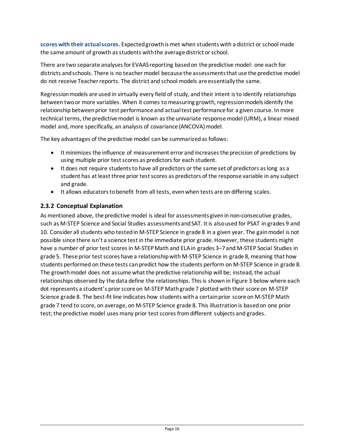**scores with their actualscores.** Expected growth is met when students with a district or school made the same amount of growth as students withthe average district or school.

There are two separate analyses for EVAAS reporting based on the predictive model: one each for districts and schools. There is no teacher model because the assessments that use the predictive model do not receive Teacher reports. The district and school models are essentially the same.

Regression models are used in virtually every field of study, and their intent is to identify relationships between two or more variables. When it comes to measuring growth, regression models identify the relationship between prior test performance and actual test performance for a given course. In more technical terms, the predictive model is known as the univariate response model (URM), a linear mixed model and, more specifically, an analysis of covariance (ANCOVA) model.

The key advantages of the predictive model can be summarized as follows:

- It minimizes the influence of measurement error and increases the precision of predictions by using multiple prior test scores as predictors for each student.
- It does not require students to have all predictors or the same set of predictors as long as a student has at least three prior test scores as predictors of the response variable in any subject and grade.
- It allows educators to benefit from all tests, even when tests are on differing scales.

### <span id="page-18-0"></span>**2.3.2 Conceptual Explanation**

As mentioned above, the predictive model is ideal for assessments given in non-consecutive grades, such as M-STEP Science and Social Studies assessments and SAT. It is also used for PSAT in grades 9 and 10. Consider all students who tested in M-STEP Science in grade 8 in a given year. The gain model is not possible since there isn't a science test in the immediate prior grade. However, these students might have a number of prior test scores in M-STEP Math and ELA in grades 3-7 and M-STEP Social Studies in grade 5. These prior test scores have a relationship with M-STEP Science in grade 8, meaning that how students performed on these tests can predict how the students perform on M-STEP Science in grade 8. The growth model does not assume what the predictive relationship will be; instead, the actual relationships observed by the data define the relationships. This is shown in [Figure 3](#page-19-0) below where each dot represents a student's prior score on M-STEP Mathgrade 7 plotted with their score on M-STEP Science grade 8. The best-fit line indicates how students with a certain prior score on M-STEP Math grade 7 tend to score, on average, on M-STEP Science grade 8. This illustration is based on one prior test; the predictive model uses many prior test scores from different subjects and grades.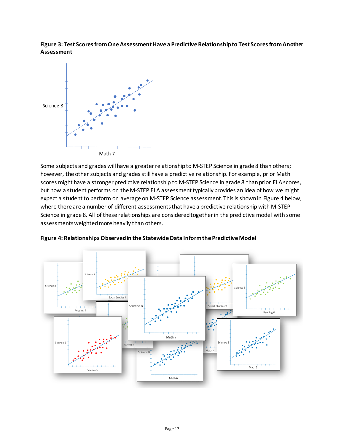<span id="page-19-0"></span>**Figure 3: Test Scores from One Assessment Have a Predictive Relationship to Test Scores from Another Assessment**



Some subjects and grades will have a greater relationship to M-STEP Science in grade 8 than others; however, the other subjects and grades still have a predictive relationship. For example, prior Math scores might have a stronger predictive relationship to M-STEP Science in grade 8 than prior ELAscores, but how a student performs on the M-STEP ELA assessment typically provides an idea of how we might expect a student to perform on average on M-STEP Science assessment.This is shown in [Figure 4](#page-19-1) below, where there are a number of different assessments that have a predictive relationship with M-STEP Science in grade 8. All of these relationships are considered together in the predictive model with some assessmentsweighted more heavily than others.



<span id="page-19-1"></span>**Figure 4: Relationships Observed in the Statewide Data Inform the Predictive Model**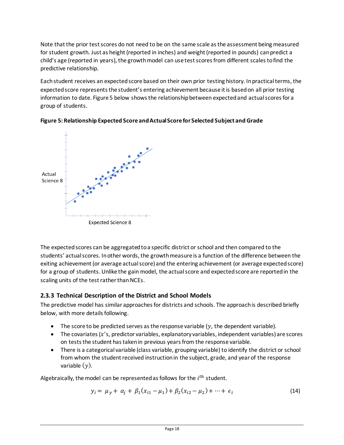Note that the prior test scores do not need to be on the same scale as the assessment being measured for student growth. Just as height (reported in inches) and weight (reported in pounds) can predict a child's age (reported in years), the growth model can use test scores from different scales to find the predictive relationship.

Each student receives an expected score based on their own prior testing history. In practical terms, the expected score represents the student's entering achievement because it is based on all prior testing information to date. [Figure 5](#page-20-1) below shows the relationship between expected and actual scores for a group of students.



<span id="page-20-1"></span>

The expected scores can be aggregated to a specific district or school and then compared to the students' actual scores. In other words, the growth measure is a function of the difference between the exiting achievement (or average actual score) and the entering achievement (or average expected score) for a group of students. Unlike the gain model, the actual score and expected score are reported in the scaling units of the test rather than NCEs.

## <span id="page-20-0"></span>**2.3.3 Technical Description of the District and School Models**

The predictive model has similar approaches for districts and schools. The approach is described briefly below, with more details following.

- The score to be predicted serves as the response variable  $(y, t)$  the dependent variable).
- $\bullet$  The covariates ( $x$ 's, predictor variables, explanatory variables, independent variables) are scores on tests the student has taken in previous years from the response variable.
- There is a categorical variable (class variable, grouping variable) to identify the district or school from whom the student received instruction in the subject, grade, and year of the response variable  $(y)$ .

Algebraically, the model can be represented as follows for the  $i<sup>th</sup>$  student.

$$
y_i = \mu_y + \alpha_j + \beta_1 (x_{i1} - \mu_1) + \beta_2 (x_{i2} - \mu_2) + \dots + \epsilon_i
$$
 (14)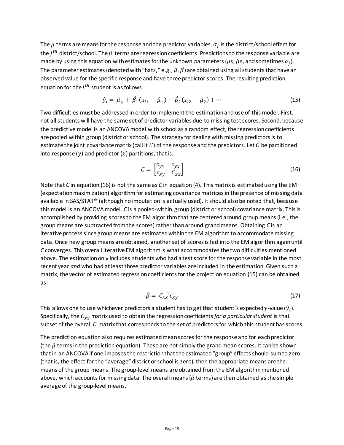The  $\mu$  terms are means for the response and the predictor variables.  $\alpha_i$  is the district/school effect for the  $j<sup>th</sup>$  district/school. The  $\beta$  terms are regression coefficients. Predictions to the response variable are made by using this equation with estimates for the unknown parameters ( $\mu$ s,  $\beta$ s, and sometimes  $\alpha_i$ ). The parameter estimates (denoted with "hats," e.g.,  $\hat{\mu}$ ,  $\hat{\beta}$ ) are obtained using all students that have an observed value for the specific response and have three predictor scores. The resulting prediction equation for the  $i^{th}$  student is as follows:

$$
\hat{y}_i = \hat{\mu}_y + \hat{\beta}_1 (x_{i1} - \hat{\mu}_1) + \hat{\beta}_2 (x_{i2} - \hat{\mu}_2) + \cdots
$$
\n(15)

Two difficulties must be addressed in order to implement the estimation and use of this model. First, not all students will have the same set of predictor variables due to missing test scores. Second, because the predictive model is an ANCOVA model with school as a random effect, the regression coefficients are pooled within group (district or school). The strategy for dealing with missing predictors is to estimate the joint covariance matrix (call it  $C$ ) of the response and the predictors. Let  $C$  be partitioned into response (y) and predictor  $(x)$  partitions, that is,

$$
C = \begin{bmatrix} c_{yy} & c_{yx} \\ c_{xy} & c_{xx} \end{bmatrix}
$$
 (16)

Note that *C* in equation (16) is not the same as *C* in equation (4). This matrix is estimated using the EM (expectation maximization) algorithm for estimating covariance matrices in the presence of missing data available in SAS/STAT® (although no imputation is actually used). It should also be noted that, because this model is an ANCOVA model, *C* is a pooled-within group (district or school) covariance matrix. This is accomplished by providing scores to the EM algorithm that are centered around group means (i.e., the group means are subtracted from the scores) rather than around grand means. Obtaining *C* is an iterative process since group means are estimated within the EM algorithmto accommodate missing data. Once new group means are obtained, another set of scores isfed into the EM algorithm againuntil *C* converges. This overall iterative EM algorithm is what accommodates the two difficulties mentioned above. The estimation only includes students who had a test score for the response variable in the most recent year *and* who had at least three predictor variables are included in the estimation. Given such a matrix, the vector of estimated regression coefficients for the projection equation (15) can be obtained as:

$$
\hat{\beta} = C_{xx}^{-1} c_{xy} \tag{17}
$$

This allows one to use whichever predictors a student has to get that student's expected y-value  $(\hat{y}_i)$ . Specifically, the  $C_{rr}$  matrix used to obtain the regression coefficients *for a particular student* is that subset of the overall  $C$  matrix that corresponds to the set of predictors for which this student has scores.

The prediction equation also requires estimated mean scores for the response and for each predictor (the  $\hat{\mu}$  terms in the prediction equation). These are not simply the grand mean scores. It can be shown that in an ANCOVA if one imposes the restriction that the estimated "group" effects should sum to zero (that is, the effect for the "average" district or school is zero), then the appropriate means are the means of the group means. The group-level means are obtained from the EM algorithm mentioned above, which accounts for missing data. The overall means ( $\hat{\mu}$  terms) are then obtained as the simple average of the group-level means.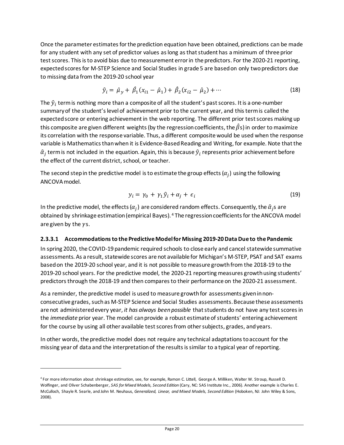Once the parameter estimates for the prediction equation have been obtained, predictions can be made for any student with any set of predictor values aslong as that student has a minimum of three prior test scores. This is to avoid bias due to measurement error in the predictors. For the 2020-21 reporting, expected scores for M-STEP Science and Social Studies in grade 5 are based on only two predictors due to missing data from the 2019-20 school year

$$
\hat{y}_i = \hat{\mu}_y + \hat{\beta}_1 (x_{i1} - \hat{\mu}_1) + \hat{\beta}_2 (x_{i2} - \hat{\mu}_2) + \cdots
$$
\n(18)

The  $\hat{y}_i$  term is nothing more than a composite of all the student's past scores. It is a one-number summary of the student's level of achievement prior to the current year, and this term is called the expected score or entering achievement in the web reporting. The different prior test scores making up this composite are given different weights (by the regression coefficients, the  $\hat{\beta}$ s) in order to maximize its correlation with the response variable. Thus, a different composite would be used when the response variable is Mathematics than when it is Evidence-Based Reading and Writing, for example. Note that the  $\hat{\alpha}_i$  term is not included in the equation. Again, this is because  $\hat{y}_i$  represents prior achievement before the effect of the current district, school, or teacher.

The second step in the predictive model is to estimate the group effects  $(\alpha_i)$  using the following ANCOVA model.

$$
y_i = \gamma_0 + \gamma_1 \hat{y}_i + \alpha_j + \epsilon_i \tag{19}
$$

In the predictive model, the effects  $(\alpha_i)$  are considered random effects. Consequently, the  $\hat{\alpha}_i$ s are obtained by shrinkage estimation (empirical Bayes). [4](#page-22-1) The regression coefficients for the ANCOVA model are given by the  $\gamma$ s.

#### <span id="page-22-0"></span>**2.3.3.1 Accommodations to the Predictive Model for Missing 2019-20 Data Due to the Pandemic**

In spring 2020, the COVID-19 pandemic required schools to close early and cancel statewide summative assessments. As a result, statewide scores are not available for Michigan's M-STEP, PSAT and SAT exams based on the 2019-20 school year, and it is not possible to measure growth from the 2018-19 to the 2019-20 school years. For the predictive model, the 2020-21 reporting measures growth using students' predictors through the 2018-19 and then compares to their performance on the 2020-21 assessment.

As a reminder, the predictive model is used to measure growth for assessments given in nonconsecutive grades, such as M-STEP Science and Social Studies assessments. Because these assessments are not administered every year, *it has always been possible* that students do not have any test scores in the *immediate* prior year. The model can provide a robust estimate of students' entering achievement for the course by using all other available test scores from other subjects, grades, and years.

In other words, the predictive model does not require any technical adaptations to account for the missing year of data and the interpretation of the results is similar to a typical year of reporting.

<span id="page-22-1"></span><sup>4</sup> For more information about shrinkage estimation, see, for example, Ramon C. Littell, George A. Milliken, Walter W. Stroup, Russell D. Wolfinger, and Oliver Schabenberger, *SAS for Mixed Models, Second Edition* (Cary, NC: SAS Institute Inc., 2006). Another example is Charles E. McCulloch, Shayle R. Searle, and John M. Neuhaus, *Generalized, Linear, and Mixed Models, Second Edition* (Hoboken, NJ: John Wiley & Sons, 2008).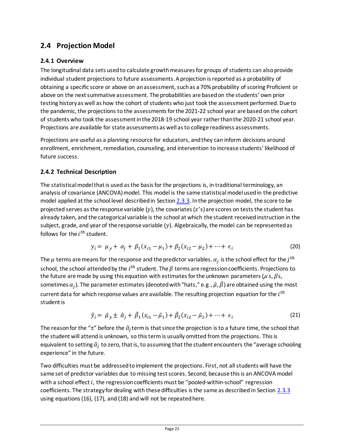# <span id="page-23-0"></span>**2.4 Projection Model**

## <span id="page-23-1"></span>**2.4.1 Overview**

The longitudinal data sets used to calculate growth measures for groups of students can also provide individual student projections to future assessments. A projection is reported as a probability of obtaining a specific score or above on an assessment, such as a 70% probability of scoring Proficient or above on the next summative assessment. The probabilities are based on the students' own prior testing history as well as how the cohort of students who just took the assessment performed. Due to the pandemic, the projections to the assessments for the 2021-22 school year are based on the cohort of students who took the assessment in the 2018-19 school year rather than the 2020-21 school year. Projections are available for state assessments as well as to college readiness assessments.

Projections are useful as a planning resource for educators, and they can inform decisions around enrollment, enrichment, remediation, counseling, and intervention to increase students' likelihood of future success.

## <span id="page-23-2"></span>**2.4.2 Technical Description**

The statistical model that is used as the basis for the projections is, in traditional terminology, an analysis of covariance (ANCOVA) model. This model is the same statistical model used in the predictive model applied at the school level described in Sectio[n 2.3.3.](#page-20-0) In the projection model, the score to be projected serves as the response variable (y), the covariates ( $x$ 's) are scores on tests the student has already taken, and the categorical variable is the school at which the student received instruction in the subject, grade, and year of the response variable  $(y)$ . Algebraically, the model can be represented as follows for the  $i^{th}$  student.

$$
y_i = \mu_y + \alpha_j + \beta_1 (x_{i1} - \mu_1) + \beta_2 (x_{i2} - \mu_2) + \dots + \epsilon_i
$$
 (20)

The  $\mu$  terms are means for the response and the predictor variables.  $\alpha_i$  is the school effect for the  $j^{th}$ school, the school attended by the  $i^{th}$  student. The  $\beta$  terms are regression coefficients. Projections to the future are made by using this equation with estimates for the unknown parameters ( $\mu$  s,  $\beta$  s, sometimes  $\alpha_j$ ). The parameter estimates (denoted with "hats," e.g.,  $\hat{\mu}$ ,  $\hat{\beta}$ ) are obtained using the most current data for which response values are available. The resulting projection equation for the  $i<sup>th</sup>$ student is

$$
\hat{y}_i = \hat{\mu}_y \pm \hat{\alpha}_j + \hat{\beta}_1 (x_{i1} - \hat{\mu}_1) + \hat{\beta}_2 (x_{i2} - \hat{\mu}_2) + \dots + \epsilon_i
$$
\n(21)

The reason for the " $\pm$ " before the  $\hat{\alpha}_i$  term is that since the projection is to a future time, the school that the student will attend is unknown, so this term is usually omitted from the projections. This is equivalent to setting  $\hat{\alpha}_i$  to zero, that is, to assuming that the student encounters the "average schooling experience" in the future.

Two difficulties must be addressed to implement the projections. First, not all students will have the same set of predictor variables due to missing test scores. Second, because this is an ANCOVA model with a school effect i, the regression coefficients must be "pooled-within-school" regression coefficients. The strategy for dealing with these difficulties is the same as described in Section [2.3.3](#page-20-0) using equations (16), (17), and (18) and will not be repeated here.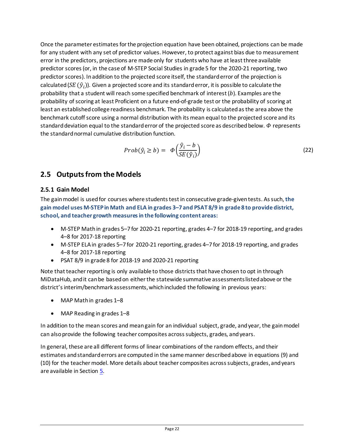Once the parameter estimates for the projection equation have been obtained, projections can be made for any student with any set of predictor values. However, to protect against bias due to measurement error in the predictors, projections are made only for students who have at least three available predictor scores(or, in the case of M-STEP Social Studies in grade 5 for the 2020-21 reporting, two predictor scores). In addition to the projected score itself, the standard error of the projection is calculated ( $SE(\hat{y}_i)$ ). Given a projected score and its standard error, it is possible to calculate the probability that a student will reach some specified benchmark of interest  $(b)$ . Examples are the probability of scoring at least Proficient on a future end-of-grade test or the probability of scoring at least an established college readiness benchmark. The probability is calculated as the area above the benchmark cutoff score using a normal distribution with its mean equal to the projected score and its standard deviation equal to the standard error of the projected score as described below.  $\Phi$  represents the standard normal cumulative distribution function.

$$
Prob(\hat{y}_i \ge b) = \Phi\left(\frac{\hat{y}_i - b}{SE(\hat{y}_i)}\right) \tag{22}
$$

## <span id="page-24-0"></span>**2.5 Outputs from the Models**

### <span id="page-24-1"></span>**2.5.1 Gain Model**

The gain model is used for courses where students test in consecutive grade-given tests. As such, **the gain model uses M-STEP in Math and ELA in grades 3–7 and PSAT 8/9 in grade 8 to provide district, school, and teacher growth measures in the following content areas:**

- M-STEP Math in grades 5–7 for 2020-21 reporting, grades 4–7 for 2018-19 reporting, and grades 4–8 for 2017-18 reporting
- M-STEP ELAin grades 5–7 for 2020-21 reporting, grades 4–7 for 2018-19 reporting, and grades 4–8 for 2017-18 reporting
- PSAT 8/9 in grade 8 for 2018-19 and 2020-21 reporting

Note that teacher reporting is only available to those districts that have chosen to opt in through MiDataHub, and it can be based on either the statewide summative assessmentslisted above or the district's interim/benchmark assessments, which included the following in previous years:

- MAP Mathin grades 1–8
- MAP Reading in grades 1–8

In addition to the mean scores and mean gain for an individual subject, grade, and year, the gain model can alsoprovide the following teacher composites across subjects, grades, and years.

In general, these are all different forms of linear combinations of the random effects, and their estimates and standard errors are computed in the same manner describedabove in equations (9) and (10) for the teacher model. More details about teacher composites across subjects, grades, and years are available in Section [5.](#page-34-0)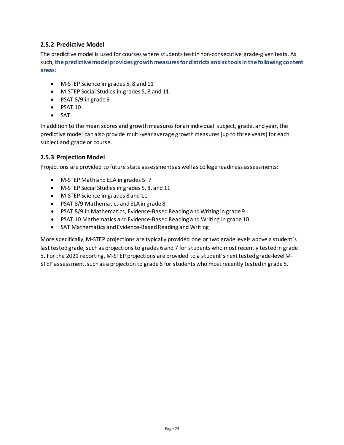#### <span id="page-25-0"></span>**2.5.2 Predictive Model**

The predictive model is used for courses where students test in non-consecutive grade-given tests. As such, **the predictive model provides growth measures for districts and schools in the following content areas:**

- M-STEP Science in grades 5, 8 and 11
- M-STEP Social Studies in grades 5, 8 and 11
- PSAT 8/9 in grade 9
- PSAT 10
- SAT

In addition to the mean scores and growth measures for an individual subject, grade, and year, the predictive model can also provide multi-year average growth measures (up to three years) for each subject and grade or course.

#### <span id="page-25-1"></span>**2.5.3 Projection Model**

Projections are provided to future state assessments as well as college readiness assessments:

- M-STEP Math and ELA in grades 5-7
- M-STEP Social Studies in grades 5, 8, and 11
- M-STEP Science in grades 8 and 11
- PSAT 8/9 Mathematics and ELA in grade 8
- PSAT 8/9 in Mathematics, Evidence-Based Reading and Writing in grade 9
- PSAT 10 Mathematics and Evidence-Based Reading and Writing in grade 10
- SAT Mathematics and Evidence-Based Reading and Writing

More specifically, M-STEP projections are typically provided one or two grade levels above a student's last tested grade, such as projections to grades 6 and 7 for students who most recently tested in grade 5. For the 2021 reporting, M-STEP projections are provided to a student's next tested grade-level M-STEP assessment, such as a projection to grade 6 for students who most recently tested in grade 5.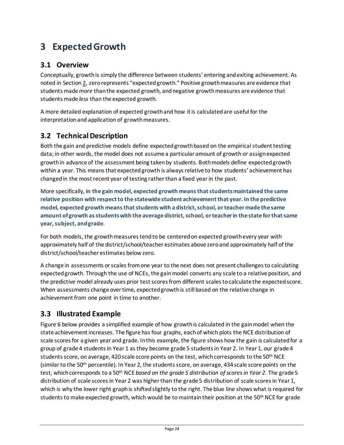# <span id="page-26-0"></span>**3 Expected Growth**

## <span id="page-26-1"></span>**3.1 Overview**

Conceptually, growth is simply the difference between students' entering and exiting achievement. As noted in Sectio[n 2,](#page-5-0) zero represents "expected growth." Positive growth measures are evidence that students made *more* than the expected growth, and negative growth measures are evidence that students made *less* than the expected growth.

A more detailed explanation of expected growthand how it is calculated are useful for the interpretation and application of growth measures.

# <span id="page-26-2"></span>**3.2 Technical Description**

Both the gain and predictive models define expected growth based on the empirical student testing data; in other words, the model does not assume a particular amount of growth or assign expected growth in advance of the assessment being taken by students. Both models define expected growth within a year. This means that expected growth is always relative to how students' achievement has changed in the most recent year of testing rather than a fixed year in the past.

More specifically, **in the gain model, expected growth means that students maintained the same relative position with respect to the statewide student achievement that year. In the predictive model, expected growth means that students with a district, school, or teacher made the same amount of growth as students with the average district, school, or teacher in the state for that same year, subject, and grade**.

For both models, the growth measures tend to be centered on expected growth every year with approximately half of the district/school/teacher estimates above zero and approximately half of the district/school/teacher estimates below zero.

A change in assessments or scales from one year to the next does not present challenges to calculating expected growth. Through the use of NCEs, the gain model converts any scale to a relative position, and the predictive model already uses prior test scores from different scalesto calculate the expected score. When assessments change over time, expected growth is still based on the relative change in achievement from one point in time to another.

## <span id="page-26-3"></span>**3.3 Illustrated Example**

[Figure 6](#page-27-0) below provides a simplified example of how growth is calculated in the gain model when the state achievement increases. The figure has four graphs, each of which plots the NCE distribution of scale scores for a given year and grade. In this example, the figure shows how the gain is calculated for a group of grade 4 students in Year 1 as they become grade 5 studentsin Year 2. In Year 1, our grade 4 students score, on average, 420 scale score points on the test, which corresponds to the 50<sup>th</sup> NCE (similar to the 50<sup>th</sup> percentile). In Year 2, the students score, on average, 434 scale score points on the test, which corresponds to a 50th NCE *based on the grade 5 distribution of scoresin Year 2*. The grade 5 distribution of scale scores in Year 2 was higher than the grade 5 distribution of scale scoresin Year 1, which is why the lower right graph is shifted slightly to the right. The blue line shows what is required for students to make expected growth, which would be to maintain their position at the 50<sup>th</sup> NCE for grade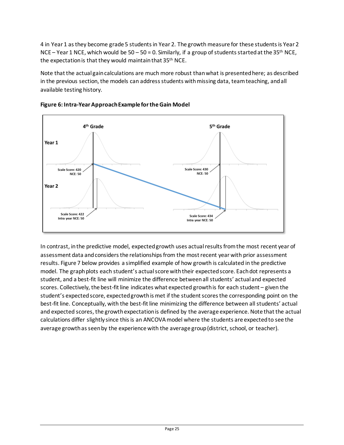4 in Year 1 as they become grade 5 studentsin Year 2. The growth measure for these students is Year 2 NCE – Year 1 NCE, which would be  $50 - 50 = 0$ . Similarly, if a group of students started at the 35<sup>th</sup> NCE, the expectation is that they would maintain that 35<sup>th</sup> NCE.

Note that the actual gain calculations are much more robust than what is presented here; as described in the previous section, the models can address students with missing data, team teaching, and all available testing history.



#### <span id="page-27-0"></span>**Figure 6: Intra-Year ApproachExample for the Gain Model**

In contrast, in the predictive model, expected growth uses actual results from the most recent year of assessment data and considers the relationships from the most recent year with prior assessment results[. Figure 7](#page-28-0) below provides a simplified example of how growth is calculated in the predictive model. The graph plots each student's actual score with their expected score. Each dot represents a student, and a best-fit line will minimize the difference between all students' actual and expected scores. Collectively, the best-fit line indicates what expected growth is for each student – given the student's expected score, expected growth is met if the student scores the corresponding point on the best-fit line. Conceptually, with the best-fit line minimizing the difference between all students' actual and expected scores, the growth expectation is defined by the average experience. Note that the actual calculations differ slightly since this is an ANCOVA model where the students are expected to see the average growth as seen by the experience with the average group (district, school, or teacher).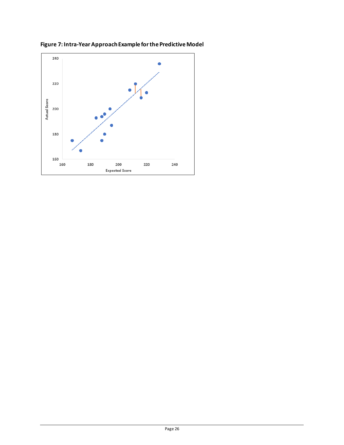

<span id="page-28-0"></span>**Figure 7: Intra-Year Approach Example for the Predictive Model**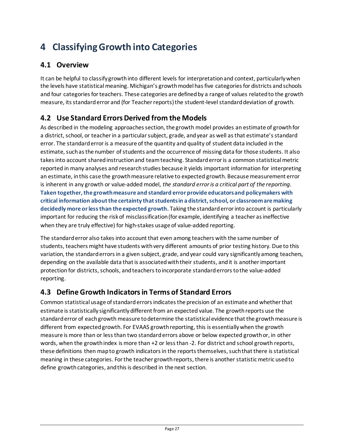# <span id="page-29-0"></span>**4 ClassifyingGrowth into Categories**

# <span id="page-29-1"></span>**4.1 Overview**

It can be helpful to classify growth into different levels for interpretation and context, particularly when the levels have statistical meaning. Michigan's growth modelhas five categoriesfor districts andschools and four categories for teachers. These categories are defined by a range of values related to the growth measure, its standard error and (for Teacher reports) the student-level standard deviation of growth.

# <span id="page-29-2"></span>**4.2 Use Standard ErrorsDerived from the Models**

As described in the modeling approaches section, the growth model provides an estimate of growthfor a district, school, or teacher in a particular subject, grade, and year as well as that estimate's standard error. The standard erroris a measure of the quantity and quality of student data included in the estimate, such as the number of students and the occurrence of missing data for those students. It also takes into account shared instruction and team teaching. Standard error is a common statistical metric reported in many analyses and research studies because it yields important information for interpreting an estimate, in this case the growth measure relative to expected growth. Because measurement error is inherent in any growth or value-added model, *the standard error is a critical part of the reporting*. **Taken together, the growth measure and standard error provide educators and policymakers with critical information aboutthe certainty that students in a district, school, or classroom are making decidedly more or less than the expected growth.** Taking the standard error into account is particularly important for reducing the risk of misclassification (for example, identifying a teacher as ineffective when they are truly effective) for high-stakes usage of value-added reporting.

The standard error also takes into account that even among teachers with the same number of students, teachers might have students with very different amounts of prior testing history. Due to this variation, the standard errors in a given subject, grade, and year could vary significantly among teachers, depending on the available data that is associated with their students, and it is another important protection for districts, schools, and teachers to incorporate standard errors to the value-added reporting.

## <span id="page-29-3"></span>**4.3 Define Growth Indicators in Terms of Standard Errors**

Common statistical usage of standard errors indicates the precision of an estimate and whether that estimate is statistically significantly different from an expected value. The growth reports use the standard error of each growth measure to determine the statistical evidence that the growth measure is different from expected growth. For EVAAS growth reporting, this is essentially when the growth measure is more than or less than two standard errors above or below expected growth or, in other words, when the growth index is more than +2 or less than -2. For district and school growth reports, these definitions then map to growth indicators in the reports themselves, such that there is statistical meaning in these categories. For the teacher growth reports, there is another statistic metric used to define growth categories, and this is described in the next section.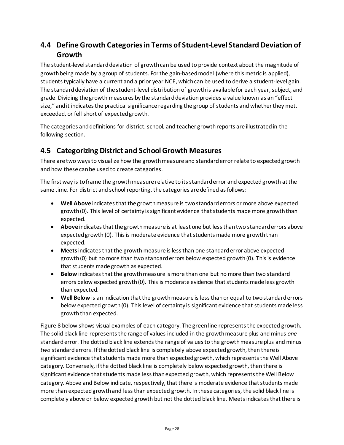# <span id="page-30-0"></span>**4.4 Define Growth Categories in Terms of Student-Level Standard Deviation of Growth**

The student-level standard deviation of growth can be used to provide context about the magnitude of growth being made by a group of students. For the gain-based model (where this metric is applied), students typically have a current and a prior year NCE, which can be used to derive a student-level gain. The standard deviation of the student-level distribution of growth is available for each year, subject, and grade. Dividing the growth measures by the standard deviation provides a value known as an "effect size," and it indicates the practical significance regarding the group of students and whether they met, exceeded, or fell short of expected growth.

The categories and definitions for district, school, and teacher growth reports are illustrated in the following section.

# <span id="page-30-1"></span>**4.5 Categorizing District and School Growth Measures**

There are two ways to visualize how the growth measure and standard error relate to expected growth and how these can be used to create categories.

The first way is to frame the growth measure relative to its standard error and expected growth at the same time. For district and school reporting, the categories are defined as follows:

- Well Above indicates that the growth measure is two standard errors or more above expected growth (0). This level of certainty is significant evidence that students made more growth than expected.
- **Above** indicatesthat the growth measure is at least one but less than two standard errors above expected growth (0). This is moderate evidence that students made more growth than expected.
- **Meets**indicates that the growth measure islessthan one standard error above expected growth (0) but no more than two standard errors below expected growth (0). This is evidence that students made growth as expected.
- **Below** indicates that the growth measure is more than one but no more than two standard errors below expected growth (0). This is moderate evidence that students made less growth than expected.
- **Well Below** is an indication that the growth measure is less than or equal to two standard errors below expected growth (0). This level of certainty is significant evidence that students made less growth than expected.

[Figure 8](#page-31-0) below shows visual examples of each category. The green line represents the expected growth. The solid black line represents the range of values included in the growth measure plus and minus *one* standard error. The dotted black line extends the range of values to the growth measure plus and minus *two* standard errors. If the dotted black line is completely above expected growth, then there is significant evidence that students made more than expected growth, which represents the Well Above category. Conversely, if the dotted black line is completely below expected growth, then there is significant evidence that students made less than expected growth, which represents the Well Below category. Above and Below indicate, respectively, that there is moderate evidence that students made more than expected growth and less than expected growth. In these categories, the solid black line is completely above or below expected growth but not the dotted black line. Meets indicates that there is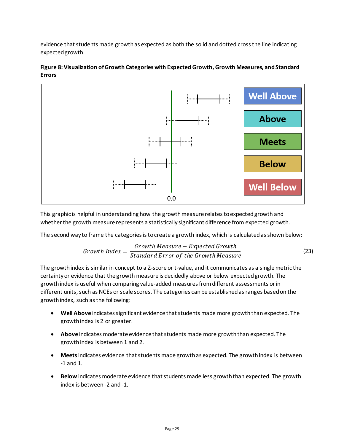evidence that students made growth as expected as both the solid and dotted cross the line indicating expected growth.



#### <span id="page-31-0"></span>**Figure 8: Visualization of Growth Categories with Expected Growth, Growth Measures, and Standard Errors**

This graphic is helpful in understanding how the growth measure relates to expected growth and whether the growth measure represents a statistically significant difference from expected growth.

The second way to frame the categories is to create a growth index, which is calculated as shown below:

$$
Growth\ Index = \frac{Growth\ Measure - Expected\ Growth}{Standard\ Error\ of\ the\ Growth\ Measure}
$$
 (23)

The growth index is similar in concept to a Z-score or t-value, and it communicates as a single metric the certainty or evidence that the growth measure is decidedly above or below expected growth. The growth index is useful when comparing value-added measuresfrom different assessments orin different units, such as NCEs or scale scores. The categories can be established as ranges based on the growth index, such as the following:

- **Well Above** indicates significant evidence that students made more growth than expected. The growth index is 2 or greater.
- **Above** indicates moderate evidence that students made more growth than expected. The growth index is between 1 and 2.
- **Meets**indicates evidence that students made growth as expected. The growth index is between -1 and 1.
- **Below** indicates moderate evidence that students made less growth than expected. The growth index is between -2 and -1.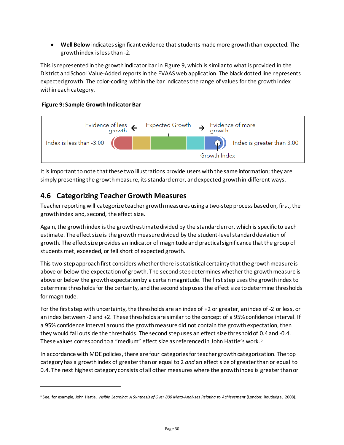• **Well Below** indicates significant evidence that students made more growth than expected. The growthindex is less than -2.

This is represented in the growth indicator bar in [Figure 9,](#page-32-1) which is similar to what is provided in the District and School Value-Added reports in the EVAAS web application. The black dotted line represents expected growth. The color-coding within the bar indicates the range of values for the growth index within each category.

### <span id="page-32-1"></span>**Figure 9: Sample Growth Indicator Bar**



It is important to note that these two illustrations provide users with the same information; they are simply presenting the growth measure, its standard error, and expected growth in different ways.

# <span id="page-32-0"></span>**4.6 Categorizing TeacherGrowth Measures**

Teacher reporting will categorize teacher growth measures using a two-step process based on, first, the growth index and, second, the effect size.

Again, the growth index is the growth estimate divided by the standard error, which is specific to each estimate. The effect size is the growth measure divided by the student-level standard deviation of growth. The effect size provides an indicator of magnitude and practical significance that the group of students met, exceeded, or fell short of expected growth.

This two-step approach first considers whether there is statistical certainty that the growthmeasure is above or below the expectation of growth. The second step determines whether the growth measure is above or below the growth expectation by a certain magnitude. The first step uses the growth index to determine thresholds for the certainty, and the second step uses the effect size to determine thresholds for magnitude.

For the first step with uncertainty, the thresholds are an index of +2 or greater, an index of -2 or less, or an index between -2 and +2. These thresholds are similar to the concept of a 95% confidence interval. If a 95% confidence interval around the growth measure did not contain the growth expectation, then they would fall outside the thresholds. The second step uses an effect size threshold of 0.4 and -0.4. These values correspond to a "medium" effect size as referenced in John Hattie's work.<sup>[5](#page-32-2)</sup>

In accordance with MDE policies, there are four categories for teacher growth categorization. The top category has a growth index of greater than or equal to 2 *and* an effect size of greater than or equal to 0.4. The next highest category consists of all other measures where the growth index is greater than or

<span id="page-32-2"></span><sup>5</sup> See, for example, John Hattie, *Visible Learning: A Synthesis of Over 800 Meta-Analyses Relating to Achievement* (London: Routledge, 2008).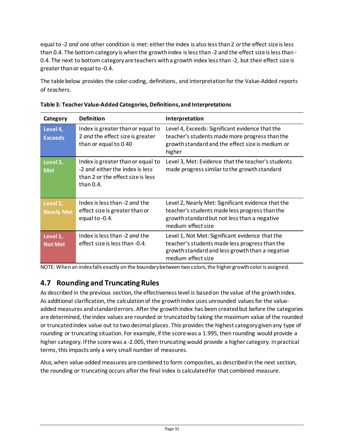equal to -2 *and* one other condition is met: either the index is also less than 2 *or*the effect size is less than 0.4. The bottom category is when the growth index is less than -2 and the effect size is less than - 0.4. The next to bottom category are teachers with a growth index less than -2, but their effect size is greater than or equal to -0.4.

The table below provides the color-coding, definitions, and interpretation for the Value-Added reports of *teachers*.

| Category                      | <b>Definition</b>                                                                                                         | Interpretation                                                                                                                                                             |
|-------------------------------|---------------------------------------------------------------------------------------------------------------------------|----------------------------------------------------------------------------------------------------------------------------------------------------------------------------|
| Level 4,<br><b>Exceeds</b>    | Index is greater than or equal to<br>2 and the effect size is greater<br>than or equal to 0.40                            | Level 4, Exceeds: Significant evidence that the<br>teacher's students made more progress than the<br>growth standard and the effect size is medium or<br>higher            |
| Level 3,<br><b>Met</b>        | Index is greater than or equal to<br>-2 and either the index is less<br>than 2 or the effect size is less<br>than $0.4$ . | Level 3, Met: Evidence that the teacher's students<br>made progress similar to the growth standard                                                                         |
| Level 2,<br><b>Nearly Met</b> | Index is less than -2 and the<br>effect size is greater than or<br>equal to -0.4.                                         | Level 2, Nearly Met: Significant evidence that the<br>teacher's students made less progress than the<br>growth standard but not less than a negative<br>medium effect size |
| Level 1,<br><b>Not Met</b>    | Index is less than -2 and the<br>effect size is less than -0.4.                                                           | Level 1, Not Met: Significant evidence that the<br>teacher's students made less progress than the<br>growth standard and less growth than a negative<br>medium effect size |

| Table 3: Teacher Value-Added Categories, Definitions, and Interpretations |
|---------------------------------------------------------------------------|
|---------------------------------------------------------------------------|

NOTE: When an index falls exactly on the boundary between two colors, the higher growth color is assigned.

# <span id="page-33-0"></span>**4.7 Rounding and TruncatingRules**

As described in the previous section, the effectiveness level is based on the value of the growth index. As additional clarification, the calculation of the growth index uses unrounded values for the valueadded measures and standard errors. After the growth index has been created but before the categories are determined, the index values are rounded or truncatedby taking the maximum value of the rounded or truncated index value out to two decimal places. This provides the highest category given any type of rounding or truncating situation. For example, if the score was a 1.995, then rounding would provide a higher category. If the score was a -2.005, then truncating would provide a higher category. In practical terms, this impacts only a very small number of measures.

Also, when value-added measures are combined to form composites, as described in the next section, the rounding or truncating occurs afterthe final index is calculated for that combined measure.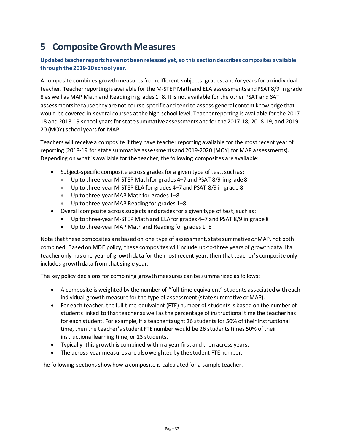# <span id="page-34-0"></span>**5 CompositeGrowth Measures**

#### **Updated teacher reports have not been released yet, so this section describes composites available through the 2019-20 school year.**

A composite combines growth measures from different subjects, grades, and/or years for an individual teacher. Teacher reporting is available for the M-STEP Math and ELA assessments and PSAT 8/9 in grade 8 as well as MAP Math and Reading in grades 1–8. It is not available for the other PSAT and SAT assessments because they are not course-specific and tend to assess general content knowledge that would be covered in several courses at the high school level. Teacher reporting is available for the 2017- 18 and 2018-19 school years for state summative assessments and for the 2017-18, 2018-19, and 2019- 20 (MOY) school years for MAP.

Teachers will receive a composite if they have teacher reporting available for the most recent year of reporting (2018-19 for state summative assessments and 2019-2020 [MOY] for MAP assessments). Depending on what is available for the teacher, the following composites are available:

- Subject-specific composite across grades for a given type of test, such as:
	- Up to three-year M-STEP Mathfor grades 4–7 and PSAT 8/9 in grade 8
	- Up to three-year M-STEP ELA for grades 4–7 and PSAT 8/9 in grade 8
	- Up to three-year MAP Math for grades 1–8
	- Up to three-year MAP Reading for grades 1–8
- Overall composite across subjects and grades for a given type of test, such as:
	- Up to three-year M-STEP Math and ELA for grades 4–7 and PSAT 8/9 in grade 8
	- Up to three-year MAP Math and Reading for grades 1–8

Note that these composites are based on one type of assessment, state summative *or* MAP, not both combined. Based on MDE policy, these composites will include up-to-three years of growth data. If a teacher only has one year of growth data for the most recent year, then that teacher's composite only includes growth data from that single year.

The key policy decisions for combining growth measures can be summarized as follows:

- A composite is weighted by the number of "full-time equivalent" students associated with each individual growth measure for the type of assessment (state summative or MAP).
- For each teacher, the full-time equivalent (FTE) number of students is based on the number of students linked to that teacher as well as the percentage of instructional time the teacher has for each student. For example, if a teacher taught 26 students for 50% of their instructional time, then the teacher's student FTE number would be 26 students times 50% of their instructional learning time, or 13 students.
- Typically, this growth is combined within a year first and then across years.
- The across-year measures are also weighted by the student FTE number.

The following sections show how a composite is calculated for a sample teacher.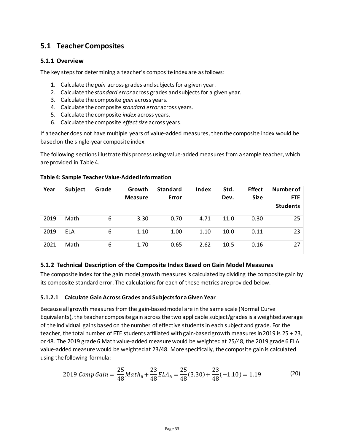# <span id="page-35-0"></span>**5.1 Teacher Composites**

### <span id="page-35-1"></span>**5.1.1 Overview**

The key steps for determining a teacher's composite index are as follows:

- 1. Calculate the *gain* across grades and subjects for a given year.
- 2. Calculate the *standard error* across grades and subjects for a given year.
- 3. Calculate the composite *gain* across years*.*
- 4. Calculate the composite *standard error* across years*.*
- 5. Calculate the composite *index* across years.
- 6. Calculate the composite *effect size* across years.

If a teacher does not have multiple years of value-added measures, then the composite index would be based on the single-year composite index.

The following sections illustrate this process using value-added measures from a sample teacher, which are provided in [Table 4.](#page-35-3)

| Year | <b>Subject</b> | Grade | Growth<br><b>Measure</b> | <b>Standard</b><br>Error | Index   | Std.<br>Dev. | <b>Effect</b><br><b>Size</b> | Number of<br><b>FTE</b><br><b>Students</b> |
|------|----------------|-------|--------------------------|--------------------------|---------|--------------|------------------------------|--------------------------------------------|
| 2019 | Math           | 6     | 3.30                     | 0.70                     | 4.71    | 11.0         | 0.30                         | 25                                         |
| 2019 | <b>ELA</b>     | 6     | $-1.10$                  | 1.00                     | $-1.10$ | 10.0         | $-0.11$                      | 23                                         |
| 2021 | Math           | 6     | 1.70                     | 0.65                     | 2.62    | 10.5         | 0.16                         | 27                                         |

#### <span id="page-35-3"></span>**Table 4: Sample Teacher Value-Added Information**

#### <span id="page-35-2"></span>**5.1.2 Technical Description of the Composite Index Based on Gain Model Measures**

The composite index for the gain model growth measures is calculated by dividing the composite gain by its composite standard error. The calculations for each of these metrics are provided below.

#### **5.1.2.1 Calculate Gain Across Grades and Subjectsfor a Given Year**

Because all growth measures from the gain-based model are in the same scale (Normal Curve Equivalents), the teacher composite gain across the two applicable subject/grades is a weighted average of the individual gains based on the number of effective students in each subject and grade. For the teacher, the total number of FTE students affiliated with gain-based growth measures in 2019 is 25 + 23, or 48. The 2019 grade 6 Math value-added measure would be weighted at 25/48, the 2019 grade 6 ELA value-added measure would be weighted at 23/48. More specifically, the composite gain is calculated using the following formula:

2019 *Comp Gain* = 
$$
\frac{25}{48}
$$
 *Math*<sub>6</sub> +  $\frac{23}{48}$  *ELA*<sub>6</sub> =  $\frac{25}{48}$ (3.30) +  $\frac{23}{48}$ (-1.10) = 1.19 (20)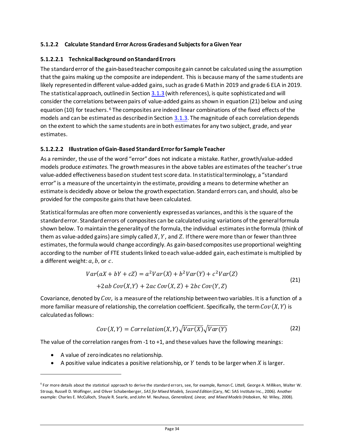#### **5.1.2.2 Calculate Standard ErrorAcross Grades and Subjectsfor a Given Year**

#### **5.1.2.2.1 Technical Background on StandardErrors**

The standard error of the gain-based teacher composite gain cannot be calculated using the assumption that the gains making up the composite are independent. This is because many of the same students are likely represented in different value-added gains, such as grade 6 Math in 2019 and grade 6 ELA in 2019. The statistical approach, outlined in Section 3.1.3 (with references), is quite sophisticated and will consider the correlations between pairs of value-added gains as shown in equation [\(21\)](#page-36-0) below and using equation (10) for teachers. [6](#page-36-1) The composites are indeed linear combinations of the fixed effects of the models and can be estimated as described in Section 3.1.3. The magnitude of each correlation depends on the extent to which the same students are in both estimates for any two subject, grade, and year estimates.

#### **5.1.2.2.2 Illustration of Gain-Based StandardErrorfor Sample Teacher**

As a reminder, the use of the word "error" does not indicate a mistake. Rather, growth/value-added models produce *estimates*. The growth measures in the above tables are estimates of the teacher's true value-added effectiveness based on student test score data. In statistical terminology, a "standard error" is a measure of the uncertainty in the estimate, providing a means to determine whether an estimate is decidedly above or below the growth expectation. Standard errors can, and should, also be provided for the composite gains that have been calculated.

Statistical formulas are often more conveniently expressed as variances, and this is the square of the standard error. Standard errors of composites can be calculated using variations of the general formula shown below. To maintain the generality of the formula, the individual estimates in the formula (think of them as value-added gains) are simply called  $X$ ,  $Y$ , and  $Z$ . If there were more than or fewer than three estimates, the formula would change accordingly. As gain-basedcomposites use proportional weighting according to the number of FTE students linked to each value-added gain, each estimate is multiplied by a different weight:  $a, b$ , or  $c$ .

$$
Var(aX + bY + cZ) = a2Var(X) + b2Var(Y) + c2Var(Z)
$$
  
+2ab Cov(X,Y) + 2ac Cov(X,Z) + 2bc Cov(Y,Z) (21)

Covariance, denoted by *Cov*, is a measure of the relationship between two variables. It is a function of a more familiar measure of relationship, the correlation coefficient. Specifically, the term  $Cov(X, Y)$  is calculated as follows:

<span id="page-36-0"></span>
$$
Cov(X,Y) = Correlation(X,Y)\sqrt{Var(X)}\sqrt{Var(Y)}
$$
\n(22)

The value of the correlation ranges from -1 to +1, and these values have the following meanings:

- A value of zero indicates no relationship.
- A positive value indicates a positive relationship, or  $Y$  tends to be larger when  $X$  is larger.

<span id="page-36-1"></span><sup>6</sup> For more details about the statistical approach to derive the standard errors, see, for example, Ramon C. Littell, George A. Milliken, Walter W. Stroup, Russell D. Wolfinger, and Oliver Schabenberger, *SAS for Mixed Models, Second Edition* (Cary, NC: SAS Institute Inc., 2006). Another example: Charles E. McCulloch, Shayle R. Searle, and John M. Neuhaus, *Generalized, Linear, and Mixed Models* (Hoboken, NJ: Wiley, 2008).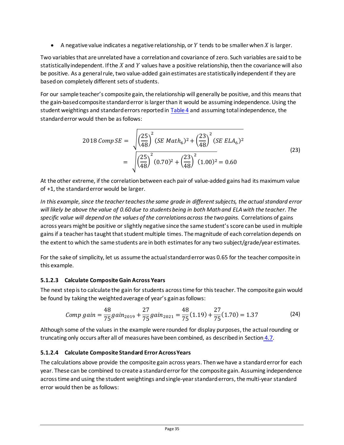• A negative value indicates a negative relationship, or  $Y$  tends to be smaller when  $X$  is larger.

Two variables that are unrelated have a correlation and covariance of zero. Such variables are said to be statistically independent. If the  $X$  and  $Y$  values have a positive relationship, then the covariance will also be positive. As a general rule, two value-added gain estimates are statistically independent if they are based on completely different sets of students.

For our sample teacher's composite gain, the relationship will generally be positive, and this means that the gain-based composite standarderror is larger than it would be assuming independence. Using the student weightings and standard errors reported i[n Table 4](#page-35-3) and assuming total independence, the standard error would then be as follows:

$$
2018 \text{ Comp} \text{SE} = \sqrt{\left(\frac{25}{48}\right)^2 \left( \text{SE } \text{Math}_6\right)^2 + \left(\frac{23}{48}\right)^2 \left( \text{SE } \text{ELA}_6\right)^2}
$$
\n
$$
= \sqrt{\left(\frac{25}{48}\right)^2 (0.70)^2 + \left(\frac{23}{48}\right)^2 (1.00)^2} = 0.60
$$
\n(23)

At the other extreme, if the correlation between each pair of value-added gains had its maximum value of +1, the standard error would be larger.

*In this example, since the teacher teaches the same grade in different subjects, the actual standard error will likely be above the value of 0.60 due to students being in both Math and ELA with the teacher. The specific value will depend on the values of the correlationsacross the two gains.* Correlations of gains across years might be positive or slightly negative since the same student's score can be used in multiple gains if a teacher has taught that student multiple times. The magnitude of each correlation depends on the extent to which the same students are in both estimates for any two subject/grade/year estimates.

For the sake of simplicity, let us assume the actual standard error was 0.65 for the teacher composite in this example.

#### **5.1.2.3 Calculate CompositeGain Across Years**

The next step is to calculate the gain for students across time for this teacher. The composite gain would be found by taking the weighted average of year's gain as follows:

Comp gain = 
$$
\frac{48}{75}gain_{2019} + \frac{27}{75}gain_{2021} = \frac{48}{75}(1.19) + \frac{27}{75}(1.70) = 1.37
$$
 (24)

Although some of the values in the example were rounded for display purposes, the actual rounding or truncating only occurs after all of measures have been combined, as described in Section [4.7.](#page-33-0)

#### **5.1.2.4 Calculate Composite Standard Error Across Years**

The calculations above provide the composite gain across years. Then we have a standard error for each year. These can be combined to create a standard error for the composite gain. Assuming independence across time and using the student weightings and single-year standard errors, the multi-year standard error would then be as follows: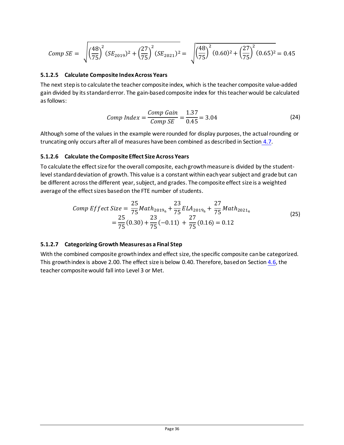$$
Comp\ SE = \sqrt{\left(\frac{48}{75}\right)^2 (SE_{2019})^2 + \left(\frac{27}{75}\right)^2 (SE_{2021})^2} = \sqrt{\left(\frac{48}{75}\right)^2 (0.60)^2 + \left(\frac{27}{75}\right)^2 (0.65)^2} = 0.45
$$

#### **5.1.2.5 Calculate Composite IndexAcross Years**

The next step is to calculate the teacher composite index, which is the teacher composite value-added gain divided by its standard error. The gain-based composite index for this teacher would be calculated as follows:

Comp Index = 
$$
\frac{Comp\ Gain}{Comp\ SE} = \frac{1.37}{0.45} = 3.04
$$
 (24)

Although some of the values in the example were rounded for display purposes, the actual rounding or truncating only occurs after all of measures have been combined as described in Section  $4.7$ .

#### **5.1.2.6 Calculate the Composite Effect Size Across Years**

To calculate the effect size for the overall composite, each growth measure is divided by the studentlevel standard deviation of growth. This value is a constant within each year subject and grade but can be different across the different year, subject, and grades. The composite effect size is a weighted average of the effect sizes based on the FTE number of students.

Comp Effect Size = 
$$
\frac{25}{75}
$$
 Math<sub>20196</sub> +  $\frac{23}{75}$  ELA<sub>20196</sub> +  $\frac{27}{75}$  Math<sub>20216</sub>  
=  $\frac{25}{75}(0.30) + \frac{23}{75}(-0.11) + \frac{27}{75}(0.16) = 0.12$  (25)

#### **5.1.2.7 Categorizing Growth Measures as a Final Step**

With the combined composite growth index and effect size, the specific composite can be categorized. This growth index is above 2.00. The effect size is below 0.40. Therefore, based on Sectio[n 4.6,](#page-32-0) the teacher composite would fall into Level 3 or Met.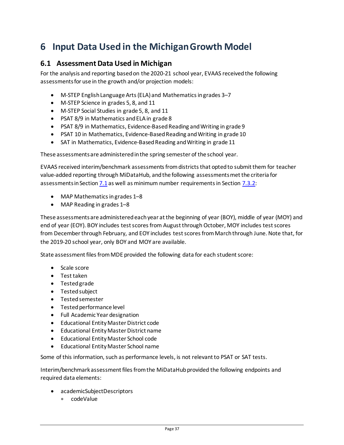# <span id="page-39-0"></span>**6 Input Data Used in the MichiganGrowth Model**

## <span id="page-39-1"></span>**6.1 Assessment Data Used in Michigan**

For the analysis and reporting based on the 2020-21 school year, EVAAS receivedthe following assessments for use in the growth and/or projection models:

- M-STEP English Language Arts (ELA) and Mathematics in grades 3–7
- M-STEP Science in grades 5, 8, and 11
- M-STEP Social Studies in grade 5, 8, and 11
- PSAT 8/9 in Mathematics and ELA in grade 8
- PSAT 8/9 in Mathematics, Evidence-Based Reading and Writing in grade 9
- PSAT 10 in Mathematics, Evidence-Based Reading and Writing in grade 10
- SAT in Mathematics, Evidence-Based Reading and Writing in grade 11

These assessments are administered in the spring semester of the school year.

EVAAS received interim/benchmark assessments from districts that opted to submit them for teacher value-added reporting through MiDataHub, and the following assessments met the criteria for assessments in Sectio[n 7.1](#page-46-1) as well as minimum number requirements in Section [7.3.2:](#page-50-0)

- MAP Mathematics in grades 1–8
- MAP Reading in grades 1–8

These assessments are administered each year at the beginning of year (BOY), middle of year (MOY) and end of year (EOY). BOY includes test scores from August through October, MOY includes test scores from December through February, and EOY includes test scores from March through June. Note that, for the 2019-20 school year, only BOY and MOY are available.

State assessment files from MDE provided the following data for each student score:

- Scale score
- Test taken
- Tested grade
- Tested subject
- Tested semester
- Tested performance level
- Full Academic Year designation
- Educational Entity Master District code
- Educational Entity Master District name
- Educational Entity Master School code
- Educational Entity Master School name

Some of this information, such as performance levels, is not relevant to PSAT or SAT tests.

Interim/benchmark assessment files from the MiDataHub provided the following endpoints and required data elements:

- academicSubjectDescriptors
	- codeValue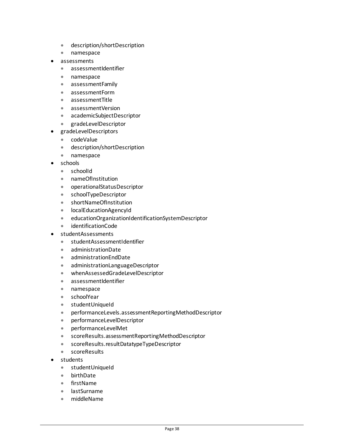- description/shortDescription
- namespace
- assessments
	- assessmentIdentifier
	- namespace
	- assessmentFamily
	- assessmentForm
	- assessmentTitle
	- assessmentVersion
	- academicSubjectDescriptor
	- gradeLevelDescriptor
- gradeLevelDescriptors
	- codeValue
	- description/shortDescription
	- namespace
- schools
	- schoolId
	- nameOfInstitution
	- operationalStatusDescriptor
	- schoolTypeDescriptor
	- shortNameOfInstitution
	- localEducationAgencyId
	- educationOrganizationIdentificationSystemDescriptor
	- identificationCode
- studentAssessments
	- studentAssessmentIdentifier
	- administrationDate
	- administrationEndDate
	- administrationLanguageDescriptor
	- whenAssessedGradeLevelDescriptor
	- assessmentIdentifier
	- namespace
	- schoolYear
	- studentUniqueId
	- performanceLevels.assessmentReportingMethodDescriptor
	- performanceLevelDescriptor
	- performanceLevelMet
	- scoreResults.assessmentReportingMethodDescriptor
	- scoreResults.resultDatatypeTypeDescriptor
	- scoreResults
- students
	- studentUniqueId
	- birthDate
	- firstName
	- lastSurname
	- middleName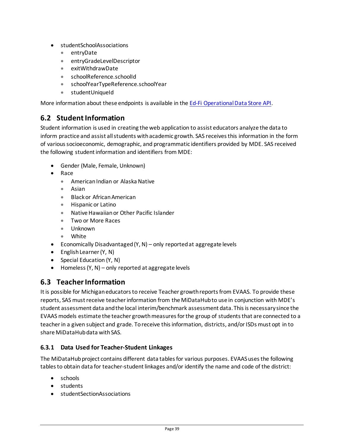- studentSchoolAssociations
	- entryDate
	- entryGradeLevelDescriptor
	- exitWithdrawDate
	- schoolReference.schoolId
	- schoolYearTypeReference.schoolYear
	- studentUniqueId

More information about these endpoints is available in th[e Ed-Fi Operational Data Store API.](https://apihub-st-sandbox.midatahub.org/Swagger/index.html?urls.primaryName=Resources)

## <span id="page-41-0"></span>**6.2 StudentInformation**

Student information is used in creating the web application to assist educators analyze the data to inform practice and assist all students with academic growth. SAS receives this information in the form of various socioeconomic, demographic, and programmatic identifiers provided by MDE. SAS received the following student information and identifiers from MDE:

- Gender (Male, Female, Unknown)
- Race
	- American Indian or Alaska Native
	- Asian
	- Black or African American
	- Hispanic or Latino
	- Native Hawaiian or Other Pacific Islander
	- Two or More Races
	- Unknown
	- White
- Economically Disadvantaged (Y, N) only reported at aggregate levels
- English Learner (Y, N)
- Special Education (Y, N)
- Homeless (Y, N) only reported at aggregate levels

## <span id="page-41-1"></span>**6.3 Teacher Information**

It is possible for Michigan educators to receive Teacher growth reports from EVAAS. To provide these reports, SAS must receive teacher information from the MiDataHub to use in conjunction with MDE's student assessment data and the local interim/benchmark assessment data. This is necessary since the EVAAS models estimate the teacher growth measures for the group of students that are connected to a teacher in a given subject and grade. To receive this information, districts, and/or ISDs must opt in to share MiDataHub data with SAS.

#### **6.3.1 Data Used for Teacher-Student Linkages**

The MiDataHub project contains different data tables for various purposes. EVAAS uses the following tables to obtain data for teacher-student linkages and/or identify the name and code of the district:

- schools
- students
- studentSectionAssociations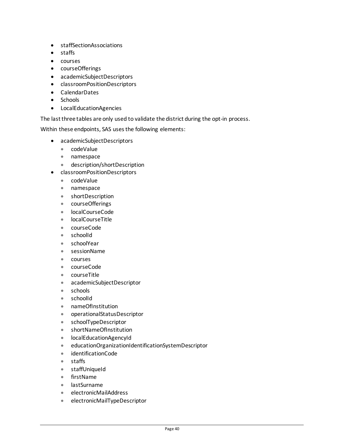- staffSectionAssociations
- staffs
- courses
- courseOfferings
- academicSubjectDescriptors
- classroomPositionDescriptors
- CalendarDates
- Schools
- LocalEducationAgencies

The last three tables are only used to validate the district during the opt-in process.

Within these endpoints, SAS uses the following elements:

- academicSubjectDescriptors
	- codeValue
	- namespace
	- description/shortDescription
- classroomPositionDescriptors
	- codeValue
	- namespace
	- shortDescription
	- courseOfferings
	- localCourseCode
	- localCourseTitle
	- courseCode
	- schoolId
	- schoolYear
	- sessionName
	- courses
	- courseCode
	- courseTitle
	- academicSubjectDescriptor
	- schools
	- schoolId
	- nameOfInstitution
	- operationalStatusDescriptor
	- schoolTypeDescriptor
	- shortNameOfInstitution
	- localEducationAgencyId
	- educationOrganizationIdentificationSystemDescriptor
	- identificationCode
	- staffs
	- staffUniqueId
	- firstName
	- lastSurname
	- electronicMailAddress
	- electronicMailTypeDescriptor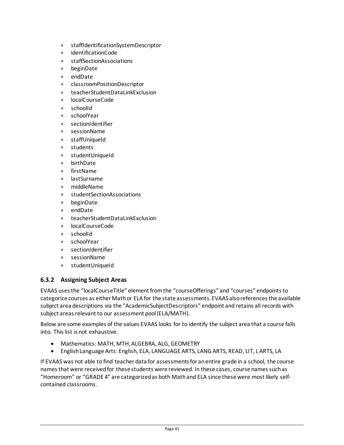- staffIdentificationSystemDescriptor
- identificationCode
- staffSectionAssociations
- beginDate
- endDate
- classroomPositionDescriptor
- teacherStudentDataLinkExclusion
- localCourseCode
- schoolId
- schoolYear
- sectionIdentifier
- sessionName
- staffUniqueId
- students
- studentUniqueId
- birthDate
- firstName
- lastSurname
- middleName
- studentSectionAssociations
- beginDate
- endDate
- teacherStudentDataLinkExclusion
- localCourseCode
- schoolId
- schoolYear
- sectionIdentifier
- sessionName
- studentUniqueId

#### **6.3.2 Assigning Subject Areas**

EVAAS uses the "localCourseTitle" element from the "courseOfferings" and "courses" endpoints to categorize courses as either Math or ELA for the state assessments. EVAAS also references the available subject area descriptions via the "AcademicSubjectDescriptors" endpoint and retains all records with subject areas relevant to our assessment pool (ELA/MATH).

Below are some examples of the values EVAAS looks for to identify the subject area that a course falls into. This list is not exhaustive.

- Mathematics: MATH, MTH, ALGEBRA, ALG, GEOMETRY
- English Language Arts: English, ELA, LANGUAGE ARTS, LANG ARTS, READ, LIT, L ARTS, LA

If EVAAS was not able to find teacher data for assessments for an entire grade in a school, the course names that were received for these students were reviewed. In these cases, course names such as "Homeroom" or "GRADE 4" are categorized as both Math and ELA since these were most likely selfcontained classrooms.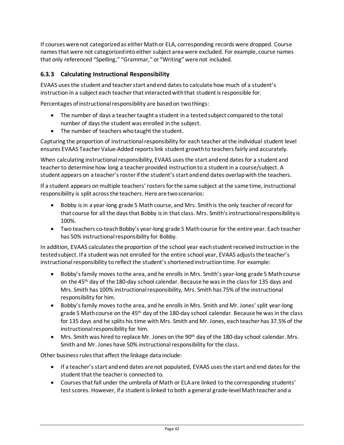If courses were not categorized as either Math or ELA, corresponding records were dropped. Course names that were not categorized into either subject area were excluded. For example, course names that only referenced "Spelling," "Grammar," or "Writing" were not included.

### **6.3.3 Calculating Instructional Responsibility**

EVAAS uses the student and teacher start and end dates to calculate how much of a student's instruction in a subject each teacher that interacted with that student is responsible for.

Percentages of instructional responsibility are based on two things:

- The number of days a teacher taught a student in a tested subject compared to the total number of days the student was enrolled in the subject.
- The number of teachers who taught the student.

Capturing the proportion of instructional responsibility for each teacher at the individual student level ensures EVAAS Teacher Value-Added reports link student growth to teachers fairly and accurately.

When calculating instructional responsibility, EVAAS uses the start and end dates for a student and teacher to determine how long a teacher provided instruction to a student in a course/subject. A student appears on a teacher's roster if the student's start and end dates overlap with the teachers.

If a student appears on multiple teachers' rosters for the same subject at the same time, instructional responsibility is split across the teachers. Here are two scenarios:

- Bobby is in a year-long grade 5 Math course, and Mrs. Smith is the only teacher of record for that course for all the days that Bobby is in that class. Mrs. Smith's instructional responsibility is 100%.
- Two teachers co-teach Bobby's year-long grade 5 Math course for the entire year. Each teacher has 50% instructional responsibility for Bobby.

In addition, EVAAS calculates the proportion of the school year each student received instruction in the tested subject. If a student was not enrolled for the entire school year, EVAAS adjusts the teacher's instructional responsibility to reflect the student's shortened instruction time. For example:

- Bobby's family moves to the area, and he enrolls in Mrs. Smith's year-long grade 5 Math course on the 45th day of the 180-day school calendar. Because he was in the class for 135 days and Mrs. Smith has 100% instructional responsibility, Mrs. Smith has 75% of the instructional responsibility for him.
- Bobby's family moves to the area, and he enrolls in Mrs. Smith and Mr. Jones' split year-long grade 5 Math course on the 45<sup>th</sup> day of the 180-day school calendar. Because he was in the class for 135 days and he splits his time with Mrs. Smith and Mr. Jones, each teacher has 37.5% of the instructional responsibility for him.
- $\bullet$  Mrs. Smith was hired to replace Mr. Jones on the 90<sup>th</sup> day of the 180-day school calendar. Mrs. Smith and Mr. Jones have 50% instructional responsibility for the class.

Other business rules that affect the linkage data include:

- If a teacher's start and end dates are not populated, EVAAS uses the start and end dates for the student that the teacher is connected to.
- Courses that fall under the umbrella of Math or ELA are linked to the corresponding students' test scores. However, if a student is linked to both a general grade-level Math teacher and a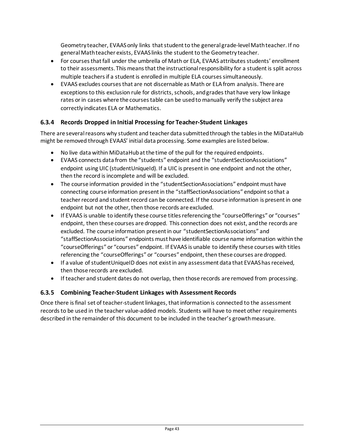Geometry teacher, EVAAS only links that student to the general grade-level Math teacher. If no general Math teacher exists, EVAAS links the student to the Geometry teacher.

- For courses that fall under the umbrella of Math or ELA, EVAAS attributes students' enrollment to their assessments. This means that the instructional responsibility for a student is split across multiple teachers if a student is enrolled in multiple ELA courses simultaneously.
- EVAAS excludes courses that are not discernable as Math or ELA from analysis. There are exceptions to this exclusion rule for districts, schools, and grades that have very low linkage rates or in cases where the courses table can be used to manually verify the subject area correctly indicates ELA or Mathematics.

### **6.3.4 Records Dropped in Initial Processing for Teacher-Student Linkages**

There are several reasons why student and teacher data submitted through the tables in the MiDataHub might be removed through EVAAS' initial data processing. Some examples are listed below.

- No live data within MiDataHub at the time of the pull for the required endpoints.
- EVAAS connects data from the "students" endpoint and the "studentSectionAssociations" endpoint using UIC (student UniqueId). If a UIC is present in one endpoint and not the other, then the record is incomplete and will be excluded.
- The course information provided in the "student Section Associations" endpoint must have connecting course information present in the "staffSectionAssociations" endpoint so that a teacher record and student record can be connected. If the course information is present in one endpoint but not the other, then those records are excluded.
- If EVAAS is unable to identify these course titles referencing the "courseOfferings" or "courses" endpoint, then these courses are dropped. This connection does not exist, and the records are excluded. The course information present in our "studentSectionAssociations" and "staffSectionAssociations" endpoints must have identifiable course name information within the "courseOfferings" or "courses" endpoint. If EVAAS is unable to identify these courses with titles referencing the "courseOfferings" or "courses" endpoint, then these courses are dropped.
- If a value of studentUniqueID does not exist in any assessment data that EVAAS has received, then those records are excluded.
- If teacher and student dates do not overlap, then those records are removed from processing.

#### **6.3.5 Combining Teacher-Student Linkages with Assessment Records**

Once there is final set of teacher-student linkages, that information is connected to the assessment records to be used in the teacher value-added models. Students will have to meet other requirements described in the remainder of this document to be included in the teacher's growth measure.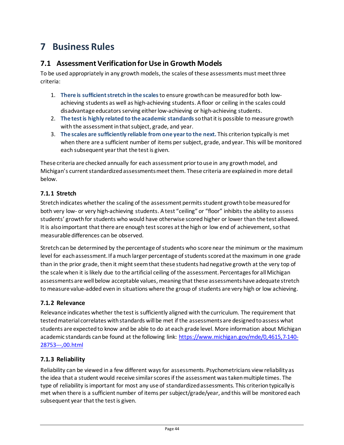# <span id="page-46-0"></span>**7 Business Rules**

## <span id="page-46-1"></span>**7.1 Assessment Verification for Use in Growth Models**

To be used appropriately in any growth models, the scales of these assessments must meet three criteria:

- 1. **There is sufficient stretch in the scales**to ensure growthcan be measured for both lowachieving students as well as high-achieving students. A floor or ceiling in the scales could disadvantage educators serving either low-achieving or high-achieving students.
- 2. **The test is highly related to the academic standards** so that it is possible to measure growth with the assessment in that subject, grade, and year.
- 3. **The scales are sufficiently reliable from one year to the next.** This criterion typically is met when there are a sufficient number of items per subject, grade, and year. This will be monitored each subsequent year that the test is given.

These criteria are checked annually for each assessment prior to use in any growth model, and Michigan's current standardized assessments meet them. These criteria are explained in more detail below.

## <span id="page-46-2"></span>**7.1.1 Stretch**

Stretch indicates whether the scaling of the assessment permits student growth to be measured for both very low- or very high-achieving students. A test "ceiling" or "floor" inhibits the ability to assess students' growth for students who would have otherwise scored higher or lower than the test allowed. It is also important that there are enough test scores at the high or low end of achievement, so that measurable differences can be observed.

Stretch can be determined by the percentage of students who score near the minimum or the maximum level for each assessment. If a much larger percentage of students scored at the maximum in one grade than in the prior grade, then it might seem that these students had negative growth at the very top of the scale when it is likely due to the artificial ceiling of the assessment. Percentages for all Michigan assessments are well below acceptable values, meaning that these assessmentshave adequate stretch to measure value-added even in situations where the group of students are very high or low achieving.

#### <span id="page-46-3"></span>**7.1.2 Relevance**

Relevance indicates whether the test is sufficiently aligned with the curriculum. The requirement that tested material correlates with standards will be met if the assessments are designed to assess what students are expected to know and be able to do at each grade level. More information about Michigan academic standards can be found at the following link: [https://www.michigan.gov/mde/0,4615,7-140-](https://www.michigan.gov/mde/0,4615,7-140-28753---,00.html) [28753---,00.html](https://www.michigan.gov/mde/0,4615,7-140-28753---,00.html)

#### <span id="page-46-4"></span>**7.1.3 Reliability**

Reliability can be viewed in a few different ways for assessments. Psychometricians view reliability as the idea that a student would receive similar scores if the assessment was taken multiple times. The type of reliability is important for most any use of standardized assessments. This criterion typically is met when there is a sufficient number of items per subject/grade/year, and this will be monitored each subsequent year that the test is given.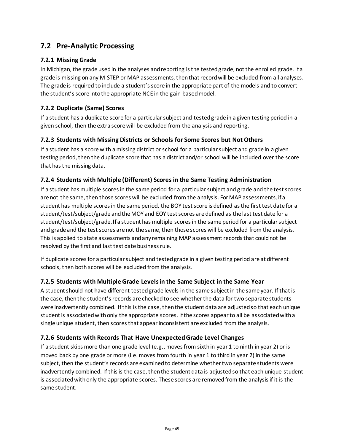# <span id="page-47-0"></span>**7.2 Pre-Analytic Processing**

### <span id="page-47-1"></span>**7.2.1 Missing Grade**

In Michigan, the grade used in the analyses and reporting is the tested grade, not the enrolled grade. If a grade is missing on any M-STEP or MAP assessments, then that record will be excluded from all analyses. The grade is required to include a student's score in the appropriate part of the models and to convert the student's score into the appropriate NCE in the gain-based model.

### <span id="page-47-2"></span>**7.2.2 Duplicate (Same) Scores**

If a student has a duplicate score for a particular subject and tested grade in a given testing period in a given school, then the extra score will be excluded from the analysis and reporting.

#### <span id="page-47-3"></span>**7.2.3 Students with Missing Districts or Schools for Some Scores but Not Others**

If a student has a score with a missing district or school for a particular subject and grade in a given testing period, then the duplicate score that has a district and/or school will be included over the score that has the missing data.

#### <span id="page-47-4"></span>**7.2.4 Students with Multiple (Different) Scores in the Same Testing Administration**

If a student has multiple scores in the same period for a particular subject and grade and the test scores are not the same, then those scores will be excluded from the analysis. For MAP assessments, if a student has multiple scores in the same period, the BOY test score is defined as the first test date for a student/test/subject/grade and the MOY and EOY test scores are defined as the last test date for a student/test/subject/grade. If a student has multiple scores in the same period for a particular subject and grade and the test scores are not the same, then those scores will be excluded from the analysis. This is applied to state assessments and any remaining MAP assessment records that could not be resolved by the first and last test date business rule.

If duplicate scores for a particular subject and tested grade in a given testing period are at different schools, then both scores will be excluded from the analysis.

#### <span id="page-47-5"></span>**7.2.5 Students with Multiple Grade Levelsin the Same Subject in the Same Year**

A student should not have different tested grade levels in the same subject in the same year. If that is the case, then the student's records are checked to see whether the data for two separate students were inadvertently combined. If this is the case, then the student data are adjusted so that each unique student is associated with only the appropriate scores. If the scores appear to all be associated with a single unique student, then scores that appear inconsistent are excluded from the analysis.

#### <span id="page-47-6"></span>**7.2.6 Students with Records That Have UnexpectedGrade Level Changes**

If a student skips more than one grade level (e.g., moves from sixth in year 1 to ninth in year 2) or is moved back by one grade or more (i.e. moves from fourth in year 1 to third in year 2) in the same subject, then the student's records are examined to determine whether two separate students were inadvertently combined. If this is the case, then the student data is adjusted so that each unique student is associated with only the appropriate scores. These scores are removed from the analysis if it is the same student.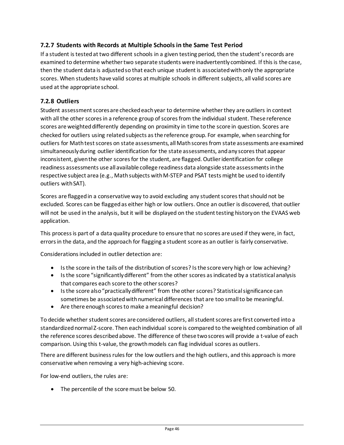### <span id="page-48-0"></span>**7.2.7 Students with Records at Multiple Schools in the Same Test Period**

If a student is tested at two different schools in a given testing period, then the student's records are examined to determine whether two separate students were inadvertently combined. If this is the case, then the student data is adjusted so that each unique student is associated with only the appropriate scores. When students have valid scores at multiple schools in different subjects, all valid scores are used at the appropriate school.

#### <span id="page-48-1"></span>**7.2.8 Outliers**

Student assessment scores are checked each year to determine whether they are outliers in context with all the other scores in a reference group of scores from the individual student. These reference scores are weighted differently depending on proximity in time to the score in question. Scores are checked for outliers using related subjects as the reference group. For example, when searching for outliers for Math test scores on state assessments, all Math scores from state assessments are examined simultaneously during outlier identification for the state assessments, and any scores that appear inconsistent, given the other scores for the student, are flagged. Outlier identification for college readiness assessments use all available college readiness data alongside state assessments in the respective subject area (e.g., Math subjects with M-STEP and PSAT tests might be used to identify outliers with SAT).

Scores are flagged in a conservative way to avoid excluding any student scores that should not be excluded. Scores can be flagged as either high or low outliers. Once an outlier is discovered, that outlier will not be used in the analysis, but it will be displayed on the student testing history on the EVAAS web application.

This process is part of a data quality procedure to ensure that no scores are used if they were, in fact, errors in the data, and the approach for flagging a student score as an outlier is fairly conservative.

Considerations included in outlier detection are:

- Is the score in the tails of the distribution of scores? Is the score very high or low achieving?
- Is the score "significantly different" from the other scores as indicated by a statistical analysis that compares each score to the other scores?
- Is the score also "practically different" from the other scores? Statistical significance can sometimes be associated with numerical differences that are too small to be meaningful.
- Are there enough scores to make a meaningful decision?

To decide whether student scores are considered outliers, all student scores are first converted into a standardized normal Z-score. Then each individual score is compared to the weighted combination of all the reference scores described above. The difference of these two scores will provide a t-value of each comparison. Using this t-value, the growth models can flag individual scores as outliers.

There are different business rules for the low outliers and the high outliers, and this approach is more conservative when removing a very high-achieving score.

For low-end outliers, the rules are:

• The percentile of the score must be below 50.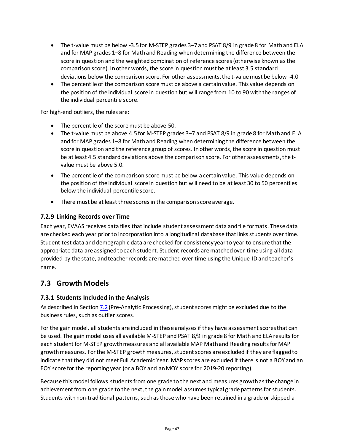- The t-value must be below -3.5 for M-STEP grades 3–7 and PSAT 8/9 in grade 8 for Math and ELA and for MAP grades 1–8 for Math and Reading when determining the difference between the score in question and the weighted combination of reference scores (otherwise known as the comparison score). In other words, the score in question must be at least 3.5 standard deviations below the comparison score. For other assessments, the t-value must be below -4.0
- The percentile of the comparison score must be above a certain value. This value depends on the position of the individual score in question but will range from 10 to 90 with the ranges of the individual percentile score.

For high-end outliers, the rules are:

- The percentile of the score must be above 50.
- The t-value must be above 4.5 for M-STEP grades 3–7 and PSAT 8/9 in grade 8 for Math and ELA and for MAP grades 1–8 for Math and Reading when determining the difference between the score in question and the reference group of scores. In other words, the score in question must be at least 4.5 standard deviations above the comparison score. For other assessments, the tvalue must be above 5.0.
- The percentile of the comparison score must be below a certain value. This value depends on the position of the individual score in question but will need to be at least 30 to 50 percentiles below the individual percentile score.
- There must be at least three scores in the comparison score average.

#### <span id="page-49-0"></span>**7.2.9 Linking Records over Time**

Each year, EVAAS receives data files that include student assessment data and file formats. These data are checked each year prior to incorporation into a longitudinal database that links students over time. Student test data and demographic data are checked for consistency year to year to ensure that the appropriate data are assigned to each student. Student records are matched over time using all data provided by the state, and teacher records are matched over time using the Unique ID and teacher's name.

## <span id="page-49-1"></span>**7.3 Growth Models**

#### <span id="page-49-2"></span>**7.3.1 Students Included in the Analysis**

As described in Sectio[n 7.2](#page-47-0) (Pre-Analytic Processing), student scores might be excluded due to the business rules, such as outlier scores.

For the gain model, all students are included in these analyses if they have assessment scores that can be used. The gain model uses all available M-STEP and PSAT 8/9 in grade 8 for Math and ELA results for each student for M-STEP growth measures and all available MAP Math and Reading results for MAP growth measures. For the M-STEP growth measures, student scores are excluded if they are flagged to indicate that they did not meet Full Academic Year. MAP scores are excluded if there is not a BOY and an EOY score for the reporting year (or a BOY and an MOY score for 2019-20 reporting).

Because this model follows students from one grade to the next and measures growth as the change in achievement from one grade to the next, the gain model assumes typical grade patterns for students. Students with non-traditional patterns, such as those who have been retained in a grade or skipped a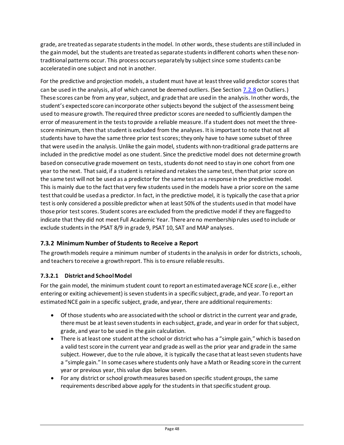grade, are treated as separate students in the model. In other words, these students are still included in the gain model, but the students are treated as separate students in different cohorts when these nontraditional patterns occur. This process occurs separately by subject since some students can be accelerated in one subject and not in another.

For the predictive and projection models, a student must have at least three valid predictor scores that can be used in the analysis, all of which cannot be deemed outliers. (See Section [7.2.8](#page-48-1) on Outliers.) These scores can be from any year, subject, and grade that are used in the analysis. In other words, the student's expected score can incorporate other subjects beyond the subject of the assessment being used to measure growth. The required three predictor scores are needed to sufficiently dampen the error of measurement in the tests to provide a reliable measure. If a student does not meet the threescore minimum, then that student is excluded from the analyses. It is important to note that not all students have to have the same three prior test scores; they only have to have some subset of three that were used in the analysis. Unlike the gain model, students with non-traditional grade patterns are included in the predictive model as one student. Since the predictive model does not determine growth based on consecutive grade movement on tests, students do not need to stay in one cohort from one year to the next. That said, if a student is retained and retakes the same test, then that prior score on the same test will not be used as a predictor for the same test as a response in the predictive model. This is mainly due to the fact that very few students used in the models have a prior score on the same test that could be used as a predictor. In fact, in the predictive model, it is typically the case that a prior test is only considered a possible predictor when at least 50% of the students used in that model have those prior test scores. Student scores are excluded from the predictive model if they are flagged to indicate that they did not meet Full Academic Year. There are no membership rules used to include or exclude students in the PSAT 8/9 in grade 9, PSAT 10, SAT and MAP analyses.

## <span id="page-50-0"></span>**7.3.2 Minimum Number of Students to Receive a Report**

The growth models require a minimum number of students in the analysis in order for districts, schools, and teachers to receive a growth report. This is to ensure reliable results.

#### **7.3.2.1 District and SchoolModel**

For the gain model, the minimum student count to report an estimated average NCE *score* (i.e., either entering or exiting achievement) is seven students in a specific subject, grade, and year. To report an estimated NCE *gain* in a specific subject, grade, and year, there are additional requirements:

- Of those students who are associated with the school or district in the current year and grade, there must be at least seven students in each subject, grade, and year in order for that subject, grade, and year to be used in the gain calculation.
- There is at least one student at the school or district who has a "simple gain," which is based on a valid test score in the current year and grade as well as the prior year and grade in the same subject. However, due to the rule above, it is typically the case that at least seven students have a "simple gain." In some cases where students only have a Math or Reading score in the current year or previous year, this value dips below seven.
- For any district or school growth measures based on specific student groups, the same requirements described above apply for the students in that specific student group.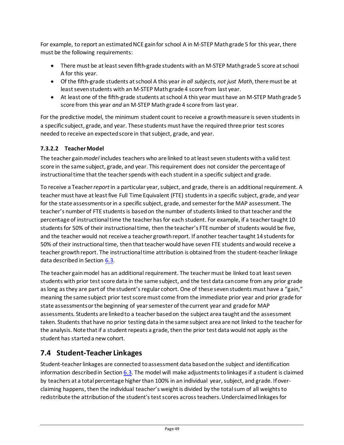For example, to report an estimated NCE gain for school A in M-STEP Math grade 5 for this year, there must be the following requirements:

- There must be at least seven fifth-grade students with an M-STEP Math grade 5 score at school A for this year.
- Of the fifth-grade students at school A this year *in all subjects, not just Math*, there must be at least seven students with an M-STEP Math grade 4 score from last year.
- At least one of the fifth-grade students at school A this year must have an M-STEP Math grade 5 score from this year *and* an M-STEP Math grade 4 score from last year.

For the predictive model, the minimum student count to receive a growth measure is seven students in a specific subject, grade, and year. These students must have the required three prior test scores needed to receive an expected score in that subject, grade, and year.

## **7.3.2.2 TeacherModel**

The teacher gain *model* includes teachers who are linked to at least seven students with a valid test score in the same subject, grade, and year. This requirement does not consider the percentage of instructional time that the teacher spends with each student in a specific subject and grade.

To receive a Teacher *report*in a particular year, subject, and grade, there is an additional requirement. A teacher must have at least five Full Time Equivalent (FTE) students in a specific subject, grade, and year for the state assessments or in a specific subject, grade, and semester for the MAP assessment. The teacher's number of FTE students is based on the number of students linked to that teacher and the percentage of instructional time the teacher has for each student. For example, if a teacher taught 10 students for 50% of their instructional time, then the teacher's FTE number of students would be five, and the teacher would not receive a teacher growth report. If another teacher taught 14 students for 50% of their instructional time, then that teacher would have seven FTE students andwould receive a teacher growth report. The instructional time attribution is obtained from the student-teacher linkage data described in Section [6.3.](#page-41-1)

The teacher gain model has an additional requirement. The teacher must be linked to at least seven students with prior test score data in the same subject, and the test data can come from any prior grade aslong as they are part of the student's regular cohort. One of these sevenstudents must have a "gain," meaning the same subject prior test score must come from the immediate prior year and prior grade for state assessments or the beginning of year semester of the current year and grade for MAP assessments. Students are linked to a teacher based on the subject area taught and the assessment taken. Students that have no prior testing data in the same subject area are not linked to the teacher for the analysis. Note that if a student repeats a grade, then the prior test data would not apply as the student has started a new cohort.

# <span id="page-51-0"></span>**7.4 Student-Teacher Linkages**

Student-teacher linkages are connected to assessment data based on the subject and identification information described in Section [6.3.](#page-41-1) The model will make adjustments to linkages if a student is claimed by teachers at a total percentage higher than 100% in an individual year, subject, and grade. If overclaiming happens, then the individual teacher's weight is divided by the total sum of all weights to redistribute the attribution of the student's test scores across teachers. Underclaimed linkages for